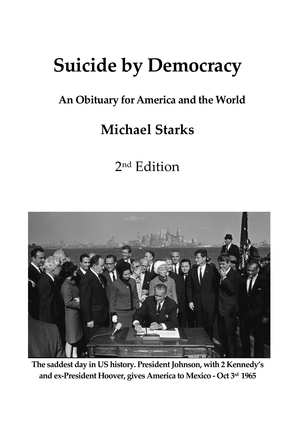# **Suicide by Democracy**

#### **An Obituary for America and the World**

## **Michael Starks**

2 nd Edition



**The saddest day in US history. President Johnson, with 2 Kennedy's and ex-President Hoover, gives America to Mexico - Oct 3rd 1965**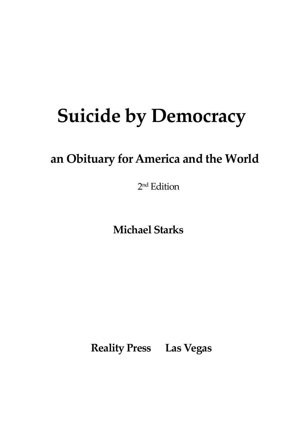# **Suicide by Democracy**

### **an Obituary for America and the World**

2 nd Edition

**Michael Starks**

**Reality Press Las Vegas**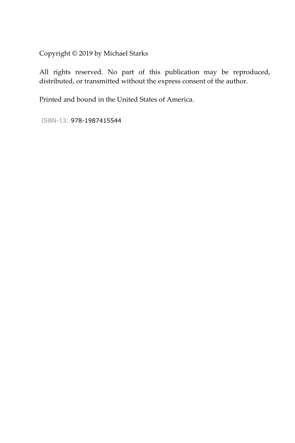Copyright © 2019 by Michael Starks

All rights reserved. No part of this publication may be reproduced, distributed, or transmitted without the express consent of the author.

Printed and bound in the United States of America.

ISBN-13: 978-1987415544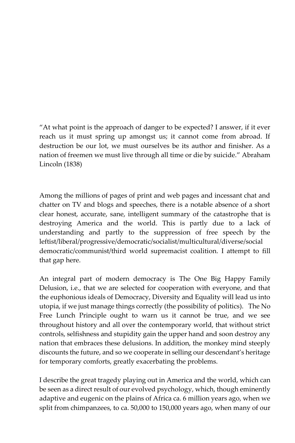"At what point is the approach of danger to be expected? I answer, if it ever reach us it must spring up amongst us; it cannot come from abroad. If destruction be our lot, we must ourselves be its author and finisher. As a nation of freemen we must live through all time or die by suicide." Abraham Lincoln (1838)

Among the millions of pages of print and web pages and incessant chat and chatter on TV and blogs and speeches, there is a notable absence of a short clear honest, accurate, sane, intelligent summary of the catastrophe that is destroying America and the world. This is partly due to a lack of understanding and partly to the suppression of free speech by the leftist/liberal/progressive/democratic/socialist/multicultural/diverse/social democratic/communist/third world supremacist coalition. I attempt to fill that gap here.

An integral part of modern democracy is The One Big Happy Family Delusion, i.e., that we are selected for cooperation with everyone, and that the euphonious ideals of Democracy, Diversity and Equality will lead us into utopia, if we just manage things correctly (the possibility of politics). The No Free Lunch Principle ought to warn us it cannot be true, and we see throughout history and all over the contemporary world, that without strict controls, selfishness and stupidity gain the upper hand and soon destroy any nation that embraces these delusions. In addition, the monkey mind steeply discounts the future, and so we cooperate in selling our descendant's heritage for temporary comforts, greatly exacerbating the problems.

I describe the great tragedy playing out in America and the world, which can be seen as a direct result of our evolved psychology, which, though eminently adaptive and eugenic on the plains of Africa ca. 6 million years ago, when we split from chimpanzees, to ca. 50,000 to 150,000 years ago, when many of our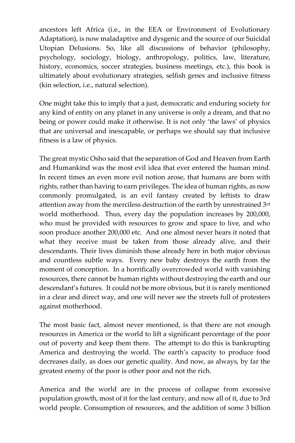ancestors left Africa (i.e., in the EEA or Environment of Evolutionary Adaptation), is now maladaptive and dysgenic and the source of our Suicidal Utopian Delusions. So, like all discussions of behavior (philosophy, psychology, sociology, biology, anthropology, politics, law, literature, history, economics, soccer strategies, business meetings, etc.), this book is ultimately about evolutionary strategies, selfish genes and inclusive fitness (kin selection, i.e., natural selection).

One might take this to imply that a just, democratic and enduring society for any kind of entity on any planet in any universe is only a dream, and that no being or power could make it otherwise. It is not only 'the laws' of physics that are universal and inescapable, or perhaps we should say that inclusive fitness is a law of physics.

The great mystic Osho said that the separation of God and Heaven from Earth and Humankind was the most evil idea that ever entered the human mind. In recent times an even more evil notion arose, that humans are born with rights, rather than having to earn privileges. The idea of human rights, as now commonly promulgated, is an evil fantasy created by leftists to draw attention away from the merciless destruction of the earth by unrestrained 3rd world motherhood. Thus, every day the population increases by 200,000, who must be provided with resources to grow and space to live, and who soon produce another 200,000 etc. And one almost never hears it noted that what they receive must be taken from those already alive, and their descendants. Their lives diminish those already here in both major obvious and countless subtle ways. Every new baby destroys the earth from the moment of conception. In a horrifically overcrowded world with vanishing resources, there cannot be human rights without destroying the earth and our descendant's futures. It could not be more obvious, but it is rarely mentioned in a clear and direct way, and one will never see the streets full of protesters against motherhood.

The most basic fact, almost never mentioned, is that there are not enough resources in America or the world to lift a significant percentage of the poor out of poverty and keep them there. The attempt to do this is bankrupting America and destroying the world. The earth's capacity to produce food decreases daily, as does our genetic quality. And now, as always, by far the greatest enemy of the poor is other poor and not the rich.

America and the world are in the process of collapse from excessive population growth, most of it for the last century, and now all of it, due to 3rd world people. Consumption of resources, and the addition of some 3 billion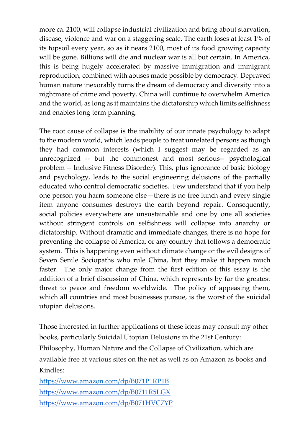more ca. 2100, will collapse industrial civilization and bring about starvation, disease, violence and war on a staggering scale. The earth loses at least 1% of its topsoil every year, so as it nears 2100, most of its food growing capacity will be gone. Billions will die and nuclear war is all but certain. In America, this is being hugely accelerated by massive immigration and immigrant reproduction, combined with abuses made possible by democracy. Depraved human nature inexorably turns the dream of democracy and diversity into a nightmare of crime and poverty. China will continue to overwhelm America and the world, as long as it maintains the dictatorship which limits selfishness and enables long term planning.

The root cause of collapse is the inability of our innate psychology to adapt to the modern world, which leads people to treat unrelated persons as though they had common interests (which I suggest may be regarded as an unrecognized -- but the commonest and most serious-- psychological problem -- Inclusive Fitness Disorder). This, plus ignorance of basic biology and psychology, leads to the social engineering delusions of the partially educated who control democratic societies. Few understand that if you help one person you harm someone else—there is no free lunch and every single item anyone consumes destroys the earth beyond repair. Consequently, social policies everywhere are unsustainable and one by one all societies without stringent controls on selfishness will collapse into anarchy or dictatorship. Without dramatic and immediate changes, there is no hope for preventing the collapse of America, or any country that follows a democratic system. This is happening even without climate change or the evil designs of Seven Senile Sociopaths who rule China, but they make it happen much faster. The only major change from the first edition of this essay is the addition of a brief discussion of China, which represents by far the greatest threat to peace and freedom worldwide. The policy of appeasing them, which all countries and most businesses pursue, is the worst of the suicidal utopian delusions.

Those interested in further applications of these ideas may consult my other books, particularly Suicidal Utopian Delusions in the 21st Century: Philosophy, Human Nature and the Collapse of Civilization, which are available free at various sites on the net as well as on Amazon as books and Kindles:

<https://www.amazon.com/dp/B071P1RP1B> <https://www.amazon.com/dp/B0711R5LGX> <https://www.amazon.com/dp/B071HVC7YP>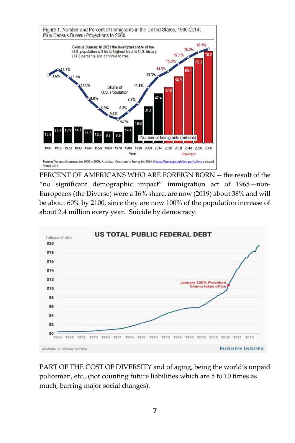

PERCENT OF AMERICANS WHO ARE FOREIGN BORN -- the result of the "no significant demographic impact" immigration act of 1965—non-Europeans (the Diverse) were a 16% share, are now (2019) about 38% and will be about 60% by 2100, since they are now 100% of the population increase of about 2.4 million every year. Suicide by democracy.



PART OF THE COST OF DIVERSITY and of aging, being the world's unpaid policeman, etc., (not counting future liabilities which are 5 to 10 times as much, barring major social changes).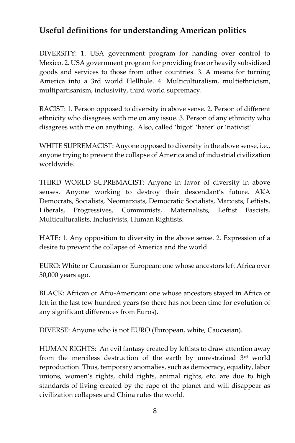#### **Useful definitions for understanding American politics**

DIVERSITY: 1. USA government program for handing over control to Mexico. 2. USA government program for providing free or heavily subsidized goods and services to those from other countries. 3. A means for turning America into a 3rd world Hellhole. 4. Multiculturalism, multiethnicism, multipartisanism, inclusivity, third world supremacy.

RACIST: 1. Person opposed to diversity in above sense. 2. Person of different ethnicity who disagrees with me on any issue. 3. Person of any ethnicity who disagrees with me on anything. Also, called 'bigot' 'hater' or 'nativist'.

WHITE SUPREMACIST: Anyone opposed to diversity in the above sense, i.e., anyone trying to prevent the collapse of America and of industrial civilization worldwide.

THIRD WORLD SUPREMACIST: Anyone in favor of diversity in above senses. Anyone working to destroy their descendant's future. AKA Democrats, Socialists, Neomarxists, Democratic Socialists, Marxists, Leftists, Liberals, Progressives, Communists, Maternalists, Leftist Fascists, Multiculturalists, Inclusivists, Human Rightists.

HATE: 1. Any opposition to diversity in the above sense. 2. Expression of a desire to prevent the collapse of America and the world.

EURO: White or Caucasian or European: one whose ancestors left Africa over 50,000 years ago.

BLACK: African or Afro-American: one whose ancestors stayed in Africa or left in the last few hundred years (so there has not been time for evolution of any significant differences from Euros).

DIVERSE: Anyone who is not EURO (European, white, Caucasian).

HUMAN RIGHTS: An evil fantasy created by leftists to draw attention away from the merciless destruction of the earth by unrestrained 3rd world reproduction. Thus, temporary anomalies, such as democracy, equality, labor unions, women's rights, child rights, animal rights, etc. are due to high standards of living created by the rape of the planet and will disappear as civilization collapses and China rules the world.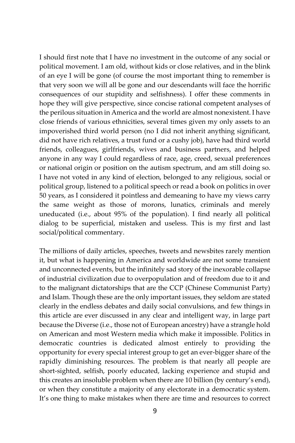I should first note that I have no investment in the outcome of any social or political movement. I am old, without kids or close relatives, and in the blink of an eye I will be gone (of course the most important thing to remember is that very soon we will all be gone and our descendants will face the horrific consequences of our stupidity and selfishness). I offer these comments in hope they will give perspective, since concise rational competent analyses of the perilous situation in America and the world are almost nonexistent. I have close friends of various ethnicities, several times given my only assets to an impoverished third world person (no I did not inherit anything significant, did not have rich relatives, a trust fund or a cushy job), have had third world friends, colleagues, girlfriends, wives and business partners, and helped anyone in any way I could regardless of race, age, creed, sexual preferences or national origin or position on the autism spectrum, and am still doing so. I have not voted in any kind of election, belonged to any religious, social or political group, listened to a political speech or read a book on politics in over 50 years, as I considered it pointless and demeaning to have my views carry the same weight as those of morons, lunatics, criminals and merely uneducated (i.e., about 95% of the population). I find nearly all political dialog to be superficial, mistaken and useless. This is my first and last social/political commentary.

The millions of daily articles, speeches, tweets and newsbites rarely mention it, but what is happening in America and worldwide are not some transient and unconnected events, but the infinitely sad story of the inexorable collapse of industrial civilization due to overpopulation and of freedom due to it and to the malignant dictatorships that are the CCP (Chinese Communist Party) and Islam. Though these are the only important issues, they seldom are stated clearly in the endless debates and daily social convulsions, and few things in this article are ever discussed in any clear and intelligent way, in large part because the Diverse (i.e., those not of European ancestry) have a strangle hold on American and most Western media which make it impossible. Politics in democratic countries is dedicated almost entirely to providing the opportunity for every special interest group to get an ever-bigger share of the rapidly diminishing resources. The problem is that nearly all people are short-sighted, selfish, poorly educated, lacking experience and stupid and this creates an insoluble problem when there are 10 billion (by century's end), or when they constitute a majority of any electorate in a democratic system. It's one thing to make mistakes when there are time and resources to correct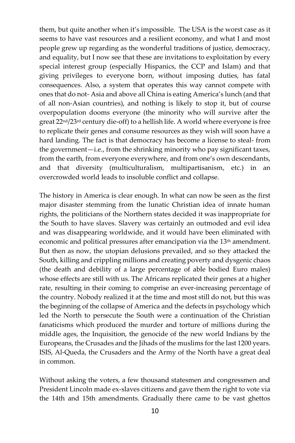them, but quite another when it's impossible. The USA is the worst case as it seems to have vast resources and a resilient economy, and what I and most people grew up regarding as the wonderful traditions of justice, democracy, and equality, but I now see that these are invitations to exploitation by every special interest group (especially Hispanics, the CCP and Islam) and that giving privileges to everyone born, without imposing duties, has fatal consequences. Also, a system that operates this way cannot compete with ones that do not- Asia and above all China is eating America's lunch (and that of all non-Asian countries), and nothing is likely to stop it, but of course overpopulation dooms everyone (the minority who will survive after the great 22<sup>nd</sup>/23<sup>rd</sup> century die-off) to a hellish life. A world where everyone is free to replicate their genes and consume resources as they wish will soon have a hard landing. The fact is that democracy has become a license to steal- from the government—i.e., from the shrinking minority who pay significant taxes, from the earth, from everyone everywhere, and from one's own descendants, and that diversity (multiculturalism, multipartisanism, etc.) in an overcrowded world leads to insoluble conflict and collapse.

The history in America is clear enough. In what can now be seen as the first major disaster stemming from the lunatic Christian idea of innate human rights, the politicians of the Northern states decided it was inappropriate for the South to have slaves. Slavery was certainly an outmoded and evil idea and was disappearing worldwide, and it would have been eliminated with economic and political pressures after emancipation via the 13<sup>th</sup> amendment. But then as now, the utopian delusions prevailed, and so they attacked the South, killing and crippling millions and creating poverty and dysgenic chaos (the death and debility of a large percentage of able bodied Euro males) whose effects are still with us. The Africans replicated their genes at a higher rate, resulting in their coming to comprise an ever-increasing percentage of the country. Nobody realized it at the time and most still do not, but this was the beginning of the collapse of America and the defects in psychology which led the North to persecute the South were a continuation of the Christian fanaticisms which produced the murder and torture of millions during the middle ages, the Inquisition, the genocide of the new world Indians by the Europeans, the Crusades and the Jihads of the muslims for the last 1200 years. ISIS, Al-Queda, the Crusaders and the Army of the North have a great deal in common.

Without asking the voters, a few thousand statesmen and congressmen and President Lincoln made ex-slaves citizens and gave them the right to vote via the 14th and 15th amendments. Gradually there came to be vast ghettos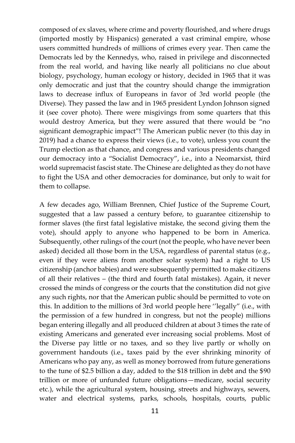composed of ex slaves, where crime and poverty flourished, and where drugs (imported mostly by Hispanics) generated a vast criminal empire, whose users committed hundreds of millions of crimes every year. Then came the Democrats led by the Kennedys, who, raised in privilege and disconnected from the real world, and having like nearly all politicians no clue about biology, psychology, human ecology or history, decided in 1965 that it was only democratic and just that the country should change the immigration laws to decrease influx of Europeans in favor of 3rd world people (the Diverse). They passed the law and in 1965 president Lyndon Johnson signed it (see cover photo). There were misgivings from some quarters that this would destroy America, but they were assured that there would be "no significant demographic impact"! The American public never (to this day in 2019) had a chance to express their views (i.e., to vote), unless you count the Trump election as that chance, and congress and various presidents changed our democracy into a "Socialist Democracy", i.e., into a Neomarxist, third world supremacist fascist state. The Chinese are delighted as they do not have to fight the USA and other democracies for dominance, but only to wait for them to collapse.

A few decades ago, William Brennen, Chief Justice of the Supreme Court, suggested that a law passed a century before, to guarantee citizenship to former slaves (the first fatal legislative mistake, the second giving them the vote), should apply to anyone who happened to be born in America. Subsequently, other rulings of the court (not the people, who have never been asked) decided all those born in the USA, regardless of parental status (e.g., even if they were aliens from another solar system) had a right to US citizenship (anchor babies) and were subsequently permitted to make citizens of all their relatives – (the third and fourth fatal mistakes). Again, it never crossed the minds of congress or the courts that the constitution did not give any such rights, nor that the American public should be permitted to vote on this. In addition to the millions of 3rd world people here ''legally" (i.e., with the permission of a few hundred in congress, but not the people) millions began entering illegally and all produced children at about 3 times the rate of existing Americans and generated ever increasing social problems. Most of the Diverse pay little or no taxes, and so they live partly or wholly on government handouts (i.e., taxes paid by the ever shrinking minority of Americans who pay any, as well as money borrowed from future generations to the tune of \$2.5 billion a day, added to the \$18 trillion in debt and the \$90 trillion or more of unfunded future obligations—medicare, social security etc.), while the agricultural system, housing, streets and highways, sewers, water and electrical systems, parks, schools, hospitals, courts, public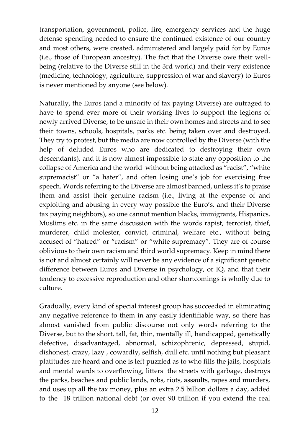transportation, government, police, fire, emergency services and the huge defense spending needed to ensure the continued existence of our country and most others, were created, administered and largely paid for by Euros (i.e., those of European ancestry). The fact that the Diverse owe their wellbeing (relative to the Diverse still in the 3rd world) and their very existence (medicine, technology, agriculture, suppression of war and slavery) to Euros is never mentioned by anyone (see below).

Naturally, the Euros (and a minority of tax paying Diverse) are outraged to have to spend ever more of their working lives to support the legions of newly arrived Diverse, to be unsafe in their own homes and streets and to see their towns, schools, hospitals, parks etc. being taken over and destroyed. They try to protest, but the media are now controlled by the Diverse (with the help of deluded Euros who are dedicated to destroying their own descendants), and it is now almost impossible to state any opposition to the collapse of America and the world without being attacked as "racist", "white supremacist" or "a hater", and often losing one's job for exercising free speech. Words referring to the Diverse are almost banned, unless it's to praise them and assist their genuine racism (i.e., living at the expense of and exploiting and abusing in every way possible the Euro's, and their Diverse tax paying neighbors), so one cannot mention blacks, immigrants, Hispanics, Muslims etc. in the same discussion with the words rapist, terrorist, thief, murderer, child molester, convict, criminal, welfare etc., without being accused of "hatred" or "racism" or "white supremacy". They are of course oblivious to their own racism and third world supremacy. Keep in mind there is not and almost certainly will never be any evidence of a significant genetic difference between Euros and Diverse in psychology, or IQ, and that their tendency to excessive reproduction and other shortcomings is wholly due to culture.

Gradually, every kind of special interest group has succeeded in eliminating any negative reference to them in any easily identifiable way, so there has almost vanished from public discourse not only words referring to the Diverse, but to the short, tall, fat, thin, mentally ill, handicapped, genetically defective, disadvantaged, abnormal, schizophrenic, depressed, stupid, dishonest, crazy, lazy , cowardly, selfish, dull etc. until nothing but pleasant platitudes are heard and one is left puzzled as to who fills the jails, hospitals and mental wards to overflowing, litters the streets with garbage, destroys the parks, beaches and public lands, robs, riots, assaults, rapes and murders, and uses up all the tax money, plus an extra 2.5 billion dollars a day, added to the 18 trillion national debt (or over 90 trillion if you extend the real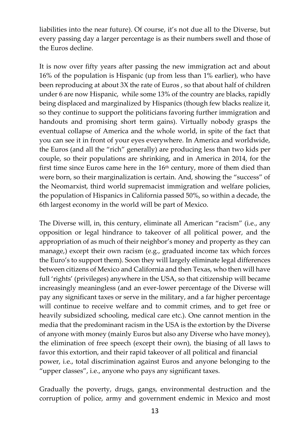liabilities into the near future). Of course, it's not due all to the Diverse, but every passing day a larger percentage is as their numbers swell and those of the Euros decline.

It is now over fifty years after passing the new immigration act and about 16% of the population is Hispanic (up from less than 1% earlier), who have been reproducing at about 3X the rate of Euros , so that about half of children under 6 are now Hispanic, while some 13% of the country are blacks, rapidly being displaced and marginalized by Hispanics (though few blacks realize it, so they continue to support the politicians favoring further immigration and handouts and promising short term gains). Virtually nobody grasps the eventual collapse of America and the whole world, in spite of the fact that you can see it in front of your eyes everywhere. In America and worldwide, the Euros (and all the "rich" generally) are producing less than two kids per couple, so their populations are shrinking, and in America in 2014, for the first time since Euros came here in the 16th century, more of them died than were born, so their marginalization is certain. And, showing the "success" of the Neomarxist, third world supremacist immigration and welfare policies, the population of Hispanics in California passed 50%, so within a decade, the 6th largest economy in the world will be part of Mexico.

The Diverse will, in, this century, eliminate all American "racism" (i.e., any opposition or legal hindrance to takeover of all political power, and the appropriation of as much of their neighbor's money and property as they can manage,) except their own racism (e.g., graduated income tax which forces the Euro's to support them). Soon they will largely eliminate legal differences between citizens of Mexico and California and then Texas, who then will have full 'rights' (privileges) anywhere in the USA, so that citizenship will became increasingly meaningless (and an ever-lower percentage of the Diverse will pay any significant taxes or serve in the military, and a far higher percentage will continue to receive welfare and to commit crimes, and to get free or heavily subsidized schooling, medical care etc.). One cannot mention in the media that the predominant racism in the USA is the extortion by the Diverse of anyone with money (mainly Euros but also any Diverse who have money), the elimination of free speech (except their own), the biasing of all laws to favor this extortion, and their rapid takeover of all political and financial power, i.e., total discrimination against Euros and anyone belonging to the "upper classes", i.e., anyone who pays any significant taxes.

Gradually the poverty, drugs, gangs, environmental destruction and the corruption of police, army and government endemic in Mexico and most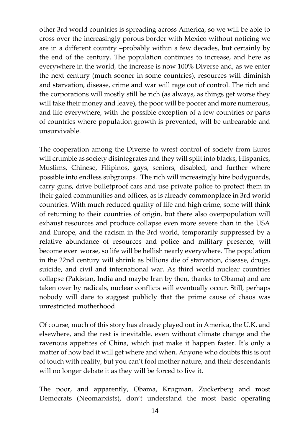other 3rd world countries is spreading across America, so we will be able to cross over the increasingly porous border with Mexico without noticing we are in a different country –probably within a few decades, but certainly by the end of the century. The population continues to increase, and here as everywhere in the world, the increase is now 100% Diverse and, as we enter the next century (much sooner in some countries), resources will diminish and starvation, disease, crime and war will rage out of control. The rich and the corporations will mostly still be rich (as always, as things get worse they will take their money and leave), the poor will be poorer and more numerous, and life everywhere, with the possible exception of a few countries or parts of countries where population growth is prevented, will be unbearable and unsurvivable.

The cooperation among the Diverse to wrest control of society from Euros will crumble as society disintegrates and they will split into blacks, Hispanics, Muslims, Chinese, Filipinos, gays, seniors, disabled, and further where possible into endless subgroups. The rich will increasingly hire bodyguards, carry guns, drive bulletproof cars and use private police to protect them in their gated communities and offices, as is already commonplace in 3rd world countries. With much reduced quality of life and high crime, some will think of returning to their countries of origin, but there also overpopulation will exhaust resources and produce collapse even more severe than in the USA and Europe, and the racism in the 3rd world, temporarily suppressed by a relative abundance of resources and police and military presence, will become ever worse, so life will be hellish nearly everywhere. The population in the 22nd century will shrink as billions die of starvation, disease, drugs, suicide, and civil and international war. As third world nuclear countries collapse (Pakistan, India and maybe Iran by then, thanks to Obama) and are taken over by radicals, nuclear conflicts will eventually occur. Still, perhaps nobody will dare to suggest publicly that the prime cause of chaos was unrestricted motherhood.

Of course, much of this story has already played out in America, the U.K. and elsewhere, and the rest is inevitable, even without climate change and the ravenous appetites of China, which just make it happen faster. It's only a matter of how bad it will get where and when. Anyone who doubts this is out of touch with reality, but you can't fool mother nature, and their descendants will no longer debate it as they will be forced to live it.

The poor, and apparently, Obama, Krugman, Zuckerberg and most Democrats (Neomarxists), don't understand the most basic operating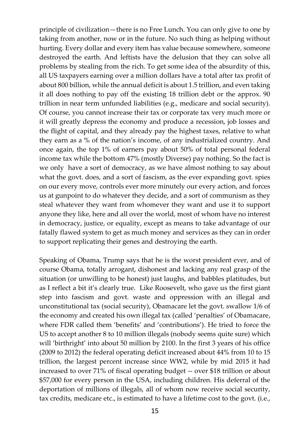principle of civilization—there is no Free Lunch. You can only give to one by taking from another, now or in the future. No such thing as helping without hurting. Every dollar and every item has value because somewhere, someone destroyed the earth. And leftists have the delusion that they can solve all problems by stealing from the rich. To get some idea of the absurdity of this, all US taxpayers earning over a million dollars have a total after tax profit of about 800 billion, while the annual deficit is about 1.5 trillion, and even taking it all does nothing to pay off the existing 18 trillion debt or the approx. 90 trillion in near term unfunded liabilities (e.g., medicare and social security). Of course, you cannot increase their tax or corporate tax very much more or it will greatly depress the economy and produce a recession, job losses and the flight of capital, and they already pay the highest taxes, relative to what they earn as a % of the nation's income, of any industrialized country. And once again, the top 1% of earners pay about 50% of total personal federal income tax while the bottom 47% (mostly Diverse) pay nothing. So the fact is we only have a sort of democracy, as we have almost nothing to say about what the govt. does, and a sort of fascism, as the ever expanding govt. spies on our every move, controls ever more minutely our every action, and forces us at gunpoint to do whatever they decide, and a sort of communism as they steal whatever they want from whomever they want and use it to support anyone they like, here and all over the world, most of whom have no interest in democracy, justice, or equality, except as means to take advantage of our fatally flawed system to get as much money and services as they can in order to support replicating their genes and destroying the earth.

Speaking of Obama, Trump says that he is the worst president ever, and of course Obama, totally arrogant, dishonest and lacking any real grasp of the situation (or unwilling to be honest) just laughs, and babbles platitudes, but as I reflect a bit it's clearly true. Like Roosevelt, who gave us the first giant step into fascism and govt. waste and oppression with an illegal and unconstitutional tax (social security), Obamacare let the govt. swallow 1/6 of the economy and created his own illegal tax (called 'penalties' of Obamacare, where FDR called them 'benefits' and 'contributions'). He tried to force the US to accept another 8 to 10 million illegals (nobody seems quite sure) which will 'birthright' into about 50 million by 2100. In the first 3 years of his office (2009 to 2012) the federal operating deficit increased about 44% from 10 to 15 trillion, the largest percent increase since WW2, while by mid 2015 it had increased to over 71% of fiscal operating budget -- over \$18 trillion or about \$57,000 for every person in the USA, including children. His deferral of the deportation of millions of illegals, all of whom now receive social security, tax credits, medicare etc., is estimated to have a lifetime cost to the govt. (i.e.,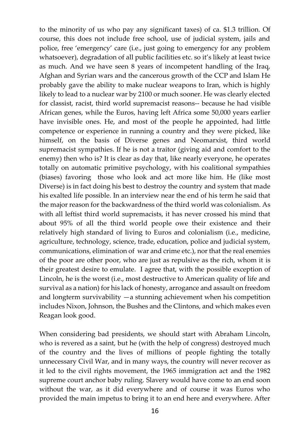to the minority of us who pay any significant taxes) of ca. \$1.3 trillion. Of course, this does not include free school, use of judicial system, jails and police, free 'emergency' care (i.e., just going to emergency for any problem whatsoever), degradation of all public facilities etc. so it's likely at least twice as much. And we have seen 8 years of incompetent handling of the Iraq, Afghan and Syrian wars and the cancerous growth of the CCP and Islam He probably gave the ability to make nuclear weapons to Iran, which is highly likely to lead to a nuclear war by 2100 or much sooner. He was clearly elected for classist, racist, third world supremacist reasons-- because he had visible African genes, while the Euros, having left Africa some 50,000 years earlier have invisible ones. He, and most of the people he appointed, had little competence or experience in running a country and they were picked, like himself, on the basis of Diverse genes and Neomarxist, third world supremacist sympathies. If he is not a traitor (giving aid and comfort to the enemy) then who is? It is clear as day that, like nearly everyone, he operates totally on automatic primitive psychology, with his coalitional sympathies (biases) favoring those who look and act more like him. He (like most Diverse) is in fact doing his best to destroy the country and system that made his exalted life possible. In an interview near the end of his term he said that the major reason for the backwardness of the third world was colonialism. As with all leftist third world supremacists, it has never crossed his mind that about 95% of all the third world people owe their existence and their relatively high standard of living to Euros and colonialism (i.e., medicine, agriculture, technology, science, trade, education, police and judicial system, communications, elimination of war and crime etc.), nor that the real enemies of the poor are other poor, who are just as repulsive as the rich, whom it is their greatest desire to emulate. I agree that, with the possible exception of Lincoln, he is the worst (i.e., most destructive to American quality of life and survival as a nation) for his lack of honesty, arrogance and assault on freedom and longterm survivability —a stunning achievement when his competition includes Nixon, Johnson, the Bushes and the Clintons, and which makes even Reagan look good.

When considering bad presidents, we should start with Abraham Lincoln, who is revered as a saint, but he (with the help of congress) destroyed much of the country and the lives of millions of people fighting the totally unnecessary Civil War, and in many ways, the country will never recover as it led to the civil rights movement, the 1965 immigration act and the 1982 supreme court anchor baby ruling. Slavery would have come to an end soon without the war, as it did everywhere and of course it was Euros who provided the main impetus to bring it to an end here and everywhere. After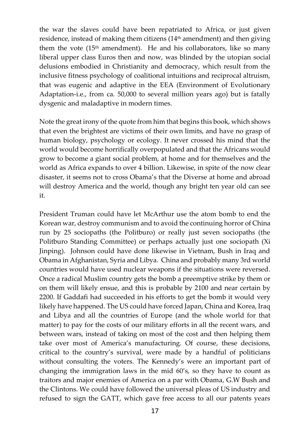the war the slaves could have been repatriated to Africa, or just given residence, instead of making them citizens (14<sup>th</sup> amendment) and then giving them the vote  $(15<sup>th</sup>$  amendment). He and his collaborators, like so many liberal upper class Euros then and now, was blinded by the utopian social delusions embodied in Christianity and democracy, which result from the inclusive fitness psychology of coalitional intuitions and reciprocal altruism, that was eugenic and adaptive in the EEA (Environment of Evolutionary Adaptation-i.e., from ca. 50,000 to several million years ago) but is fatally dysgenic and maladaptive in modern times.

Note the great irony of the quote from him that begins this book, which shows that even the brightest are victims of their own limits, and have no grasp of human biology, psychology or ecology. It never crossed his mind that the world would become horrifically overpopulated and that the Africans would grow to become a giant social problem, at home and for themselves and the world as Africa expands to over 4 billion. Likewise, in spite of the now clear disaster, it seems not to cross Obama's that the Diverse at home and abroad will destroy America and the world, though any bright ten year old can see it.

President Truman could have let McArthur use the atom bomb to end the Korean war, destroy communism and to avoid the continuing horror of China run by 25 sociopaths (the Politburo) or really just seven sociopaths (the Politburo Standing Committee) or perhaps actually just one sociopath (Xi Jinping). Johnson could have done likewise in Vietnam, Bush in Iraq and Obama in Afghanistan, Syria and Libya. China and probably many 3rd world countries would have used nuclear weapons if the situations were reversed. Once a radical Muslim country gets the bomb a preemptive strike by them or on them will likely ensue, and this is probable by 2100 and near certain by 2200. If Gaddafi had succeeded in his efforts to get the bomb it would very likely have happened. The US could have forced Japan, China and Korea, Iraq and Libya and all the countries of Europe (and the whole world for that matter) to pay for the costs of our military efforts in all the recent wars, and between wars, instead of taking on most of the cost and then helping them take over most of America's manufacturing. Of course, these decisions, critical to the country's survival, were made by a handful of politicians without consulting the voters. The Kennedy's were an important part of changing the immigration laws in the mid 60's, so they have to count as traitors and major enemies of America on a par with Obama, G.W Bush and the Clintons. We could have followed the universal pleas of US industry and refused to sign the GATT, which gave free access to all our patents years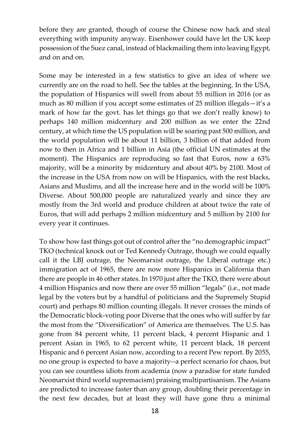before they are granted, though of course the Chinese now hack and steal everything with impunity anyway. Eisenhower could have let the UK keep possession of the Suez canal, instead of blackmailing them into leaving Egypt, and on and on.

Some may be interested in a few statistics to give an idea of where we currently are on the road to hell. See the tables at the beginning. In the USA, the population of Hispanics will swell from about 55 million in 2016 (or as much as 80 million if you accept some estimates of 25 million illegals—it's a mark of how far the govt. has let things go that we don't really know) to perhaps 140 million midcentury and 200 million as we enter the 22nd century, at which time the US population will be soaring past 500 million, and the world population will be about 11 billion, 3 billion of that added from now to then in Africa and 1 billion in Asia (the official UN estimates at the moment). The Hispanics are reproducing so fast that Euros, now a 63% majority, will be a minority by midcentury and about 40% by 2100. Most of the increase in the USA from now on will be Hispanics, with the rest blacks, Asians and Muslims, and all the increase here and in the world will be 100% Diverse. About 500,000 people are naturalized yearly and since they are mostly from the 3rd world and produce children at about twice the rate of Euros, that will add perhaps 2 million midcentury and 5 million by 2100 for every year it continues.

To show how fast things got out of control after the "no demographic impact" TKO (technical knock out or Ted Kennedy Outrage, though we could equally call it the LBJ outrage, the Neomarxist outrage, the Liberal outrage etc.) immigration act of 1965, there are now more Hispanics in California than there are people in 46 other states. In 1970 just after the TKO, there were about 4 million Hispanics and now there are over 55 million "legals" (i.e., not made legal by the voters but by a handful of politicians and the Supremely Stupid court) and perhaps 80 million counting illegals. It never crosses the minds of the Democratic block-voting poor Diverse that the ones who will suffer by far the most from the "Diversification" of America are themselves. The U.S. has gone from 84 percent white, 11 percent black, 4 percent Hispanic and 1 percent Asian in 1965, to 62 percent white, 11 percent black, 18 percent Hispanic and 6 percent Asian now, according to a recent Pew report. By 2055, no one group is expected to have a majority--a perfect scenario for chaos, but you can see countless idiots from academia (now a paradise for state funded Neomarxist third world supremacism) praising multipartisanism. The Asians are predicted to increase faster than any group, doubling their percentage in the next few decades, but at least they will have gone thru a minimal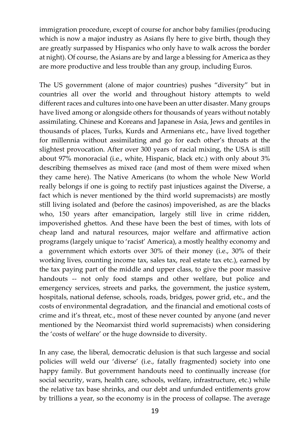immigration procedure, except of course for anchor baby families (producing which is now a major industry as Asians fly here to give birth, though they are greatly surpassed by Hispanics who only have to walk across the border at night). Of course, the Asians are by and large a blessing for America as they are more productive and less trouble than any group, including Euros.

The US government (alone of major countries) pushes "diversity" but in countries all over the world and throughout history attempts to weld different races and cultures into one have been an utter disaster. Many groups have lived among or alongside others for thousands of years without notably assimilating. Chinese and Koreans and Japanese in Asia, Jews and gentiles in thousands of places, Turks, Kurds and Armenians etc., have lived together for millennia without assimilating and go for each other's throats at the slightest provocation. After over 300 years of racial mixing, the USA is still about 97% monoracial (i.e., white, Hispanic, black etc.) with only about 3% describing themselves as mixed race (and most of them were mixed when they came here). The Native Americans (to whom the whole New World really belongs if one is going to rectify past injustices against the Diverse, a fact which is never mentioned by the third world supremacists) are mostly still living isolated and (before the casinos) impoverished, as are the blacks who, 150 years after emancipation, largely still live in crime ridden, impoverished ghettos. And these have been the best of times, with lots of cheap land and natural resources, major welfare and affirmative action programs (largely unique to 'racist' America), a mostly healthy economy and a government which extorts over 30% of their money (i.e., 30% of their working lives, counting income tax, sales tax, real estate tax etc.), earned by the tax paying part of the middle and upper class, to give the poor massive handouts -- not only food stamps and other welfare, but police and emergency services, streets and parks, the government, the justice system, hospitals, national defense, schools, roads, bridges, power grid, etc., and the costs of environmental degradation, and the financial and emotional costs of crime and it's threat, etc., most of these never counted by anyone (and never mentioned by the Neomarxist third world supremacists) when considering the 'costs of welfare' or the huge downside to diversity.

In any case, the liberal, democratic delusion is that such largesse and social policies will weld our 'diverse' (i.e., fatally fragmented) society into one happy family. But government handouts need to continually increase (for social security, wars, health care, schools, welfare, infrastructure, etc.) while the relative tax base shrinks, and our debt and unfunded entitlements grow by trillions a year, so the economy is in the process of collapse. The average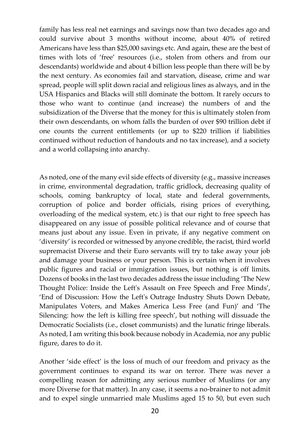family has less real net earnings and savings now than two decades ago and could survive about 3 months without income, about 40% of retired Americans have less than \$25,000 savings etc. And again, these are the best of times with lots of 'free' resources (i.e., stolen from others and from our descendants) worldwide and about 4 billion less people than there will be by the next century. As economies fail and starvation, disease, crime and war spread, people will split down racial and religious lines as always, and in the USA Hispanics and Blacks will still dominate the bottom. It rarely occurs to those who want to continue (and increase) the numbers of and the subsidization of the Diverse that the money for this is ultimately stolen from their own descendants, on whom falls the burden of over \$90 trillion debt if one counts the current entitlements (or up to \$220 trillion if liabilities continued without reduction of handouts and no tax increase), and a society and a world collapsing into anarchy.

As noted, one of the many evil side effects of diversity (e.g., massive increases in crime, environmental degradation, traffic gridlock, decreasing quality of schools, coming bankruptcy of local, state and federal governments, corruption of police and border officials, rising prices of everything, overloading of the medical system, etc.) is that our right to free speech has disappeared on any issue of possible political relevance and of course that means just about any issue. Even in private, if any negative comment on 'diversity' is recorded or witnessed by anyone credible, the racist, third world supremacist Diverse and their Euro servants will try to take away your job and damage your business or your person. This is certain when it involves public figures and racial or immigration issues, but nothing is off limits. Dozens of books in the last two decades address the issue including 'The New Thought Police: Inside the Left's Assault on Free Speech and Free Minds', 'End of Discussion: How the Left's Outrage Industry Shuts Down Debate, Manipulates Voters, and Makes America Less Free (and Fun)' and 'The Silencing: how the left is killing free speech', but nothing will dissuade the Democratic Socialists (i.e., closet communists) and the lunatic fringe liberals. As noted, I am writing this book because nobody in Academia, nor any public figure, dares to do it.

Another 'side effect' is the loss of much of our freedom and privacy as the government continues to expand its war on terror. There was never a compelling reason for admitting any serious number of Muslims (or any more Diverse for that matter). In any case, it seems a no-brainer to not admit and to expel single unmarried male Muslims aged 15 to 50, but even such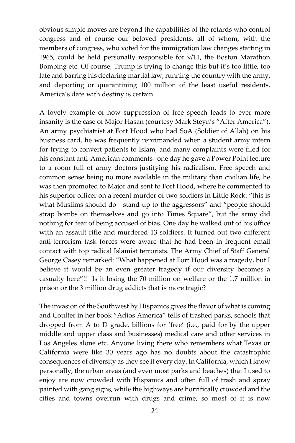obvious simple moves are beyond the capabilities of the retards who control congress and of course our beloved presidents, all of whom, with the members of congress, who voted for the immigration law changes starting in 1965, could be held personally responsible for 9/11, the Boston Marathon Bombing etc. Of course, Trump is trying to change this but it's too little, too late and barring his declaring martial law, running the country with the army, and deporting or quarantining 100 million of the least useful residents, America's date with destiny is certain.

A lovely example of how suppression of free speech leads to ever more insanity is the case of Major Hasan (courtesy Mark Steyn's "After America"). An army psychiatrist at Fort Hood who had SoA (Soldier of Allah) on his business card, he was frequently reprimanded when a student army intern for trying to convert patients to Islam, and many complaints were filed for his constant anti-American comments--one day he gave a Power Point lecture to a room full of army doctors justifying his radicalism. Free speech and common sense being no more available in the military than civilian life, he was then promoted to Major and sent to Fort Hood, where he commented to his superior officer on a recent murder of two soldiers in Little Rock: "this is what Muslims should do—stand up to the aggressors" and "people should strap bombs on themselves and go into Times Square", but the army did nothing for fear of being accused of bias. One day he walked out of his office with an assault rifle and murdered 13 soldiers. It turned out two different anti-terrorism task forces were aware that he had been in frequent email contact with top radical Islamist terrorists. The Army Chief of Staff General George Casey remarked: "What happened at Fort Hood was a tragedy, but I believe it would be an even greater tragedy if our diversity becomes a casualty here"!! Is it losing the 70 million on welfare or the 1.7 million in prison or the 3 million drug addicts that is more tragic?

The invasion of the Southwest by Hispanics gives the flavor of what is coming and Coulter in her book "Adios America" tells of trashed parks, schools that dropped from A to D grade, billions for 'free' (i.e., paid for by the upper middle and upper class and businesses) medical care and other services in Los Angeles alone etc. Anyone living there who remembers what Texas or California were like 30 years ago has no doubts about the catastrophic consequences of diversity as they see it every day. In California, which I know personally, the urban areas (and even most parks and beaches) that I used to enjoy are now crowded with Hispanics and often full of trash and spray painted with gang signs, while the highways are horrifically crowded and the cities and towns overrun with drugs and crime, so most of it is now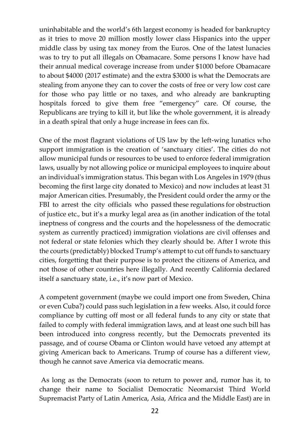uninhabitable and the world's 6th largest economy is headed for bankruptcy as it tries to move 20 million mostly lower class Hispanics into the upper middle class by using tax money from the Euros. One of the latest lunacies was to try to put all illegals on Obamacare. Some persons I know have had their annual medical coverage increase from under \$1000 before Obamacare to about \$4000 (2017 estimate) and the extra \$3000 is what the Democrats are stealing from anyone they can to cover the costs of free or very low cost care for those who pay little or no taxes, and who already are bankrupting hospitals forced to give them free "emergency" care. Of course, the Republicans are trying to kill it, but like the whole government, it is already in a death spiral that only a huge increase in fees can fix.

One of the most flagrant violations of US law by the left-wing lunatics who support immigration is the creation of 'sanctuary cities'. The cities do not allow municipal funds or resources to be used to enforce federal immigration laws, usually by not allowing police or municipal employees to inquire about an individual's immigration status. This began with Los Angeles in 1979 (thus becoming the first large city donated to Mexico) and now includes at least 31 major American cities. Presumably, the President could order the army or the FBI to arrest the city officials who passed these regulations for obstruction of justice etc., but it's a murky legal area as (in another indication of the total ineptness of congress and the courts and the hopelessness of the democratic system as currently practiced) immigration violations are civil offenses and not federal or state felonies which they clearly should be. After I wrote this the courts (predictably) blocked Trump's attempt to cut off funds to sanctuary cities, forgetting that their purpose is to protect the citizens of America, and not those of other countries here illegally. And recently California declared itself a sanctuary state, i.e., it's now part of Mexico.

A competent government (maybe we could import one from Sweden, China or even Cuba?) could pass such legislation in a few weeks. Also, it could force compliance by cutting off most or all federal funds to any city or state that failed to comply with federal immigration laws, and at least one such bill has been introduced into congress recently, but the Democrats prevented its passage, and of course Obama or Clinton would have vetoed any attempt at giving American back to Americans. Trump of course has a different view, though he cannot save America via democratic means.

As long as the Democrats (soon to return to power and, rumor has it, to change their name to Socialist Democratic Neomarxist Third World Supremacist Party of Latin America, Asia, Africa and the Middle East) are in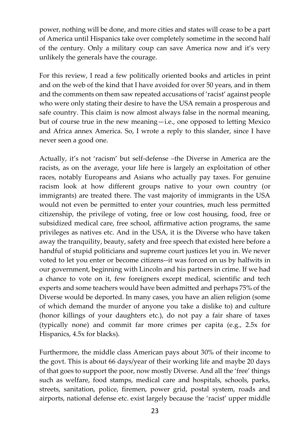power, nothing will be done, and more cities and states will cease to be a part of America until Hispanics take over completely sometime in the second half of the century. Only a military coup can save America now and it's very unlikely the generals have the courage.

For this review, I read a few politically oriented books and articles in print and on the web of the kind that I have avoided for over 50 years, and in them and the comments on them saw repeated accusations of 'racist' against people who were only stating their desire to have the USA remain a prosperous and safe country. This claim is now almost always false in the normal meaning, but of course true in the new meaning—i.e., one opposed to letting Mexico and Africa annex America. So, I wrote a reply to this slander, since I have never seen a good one.

Actually, it's not 'racism' but self-defense –the Diverse in America are the racists, as on the average, your life here is largely an exploitation of other races, notably Europeans and Asians who actually pay taxes. For genuine racism look at how different groups native to your own country (or immigrants) are treated there. The vast majority of immigrants in the USA would not even be permitted to enter your countries, much less permitted citizenship, the privilege of voting, free or low cost housing, food, free or subsidized medical care, free school, affirmative action programs, the same privileges as natives etc. And in the USA, it is the Diverse who have taken away the tranquility, beauty, safety and free speech that existed here before a handful of stupid politicians and supreme court justices let you in. We never voted to let you enter or become citizens--it was forced on us by halfwits in our government, beginning with Lincoln and his partners in crime. If we had a chance to vote on it, few foreigners except medical, scientific and tech experts and some teachers would have been admitted and perhaps 75% of the Diverse would be deported. In many cases, you have an alien religion (some of which demand the murder of anyone you take a dislike to) and culture (honor killings of your daughters etc.), do not pay a fair share of taxes (typically none) and commit far more crimes per capita (e.g., 2.5x for Hispanics, 4.5x for blacks).

Furthermore, the middle class American pays about 30% of their income to the govt. This is about 66 days/year of their working life and maybe 20 days of that goes to support the poor, now mostly Diverse. And all the 'free' things such as welfare, food stamps, medical care and hospitals, schools, parks, streets, sanitation, police, firemen, power grid, postal system, roads and airports, national defense etc. exist largely because the 'racist' upper middle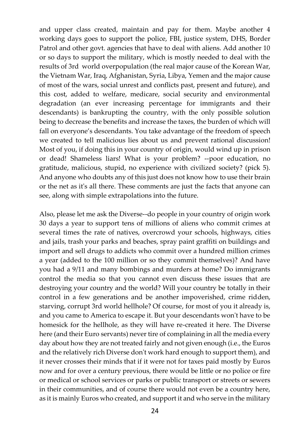and upper class created, maintain and pay for them. Maybe another 4 working days goes to support the police, FBI, justice system, DHS, Border Patrol and other govt. agencies that have to deal with aliens. Add another 10 or so days to support the military, which is mostly needed to deal with the results of 3rd world overpopulation (the real major cause of the Korean War, the Vietnam War, Iraq, Afghanistan, Syria, Libya, Yemen and the major cause of most of the wars, social unrest and conflicts past, present and future), and this cost, added to welfare, medicare, social security and environmental degradation (an ever increasing percentage for immigrants and their descendants) is bankrupting the country, with the only possible solution being to decrease the benefits and increase the taxes, the burden of which will fall on everyone's descendants. You take advantage of the freedom of speech we created to tell malicious lies about us and prevent rational discussion! Most of you, if doing this in your country of origin, would wind up in prison or dead! Shameless liars! What is your problem? --poor education, no gratitude, malicious, stupid, no experience with civilized society? (pick 5). And anyone who doubts any of this just does not know how to use their brain or the net as it's all there. These comments are just the facts that anyone can see, along with simple extrapolations into the future.

Also, please let me ask the Diverse--do people in your country of origin work 30 days a year to support tens of millions of aliens who commit crimes at several times the rate of natives, overcrowd your schools, highways, cities and jails, trash your parks and beaches, spray paint graffiti on buildings and import and sell drugs to addicts who commit over a hundred million crimes a year (added to the 100 million or so they commit themselves)? And have you had a 9/11 and many bombings and murders at home? Do immigrants control the media so that you cannot even discuss these issues that are destroying your country and the world? Will your country be totally in their control in a few generations and be another impoverished, crime ridden, starving, corrupt 3rd world hellhole? Of course, for most of you it already is, and you came to America to escape it. But your descendants won't have to be homesick for the hellhole, as they will have re-created it here. The Diverse here (and their Euro servants) never tire of complaining in all the media every day about how they are not treated fairly and not given enough (i.e., the Euros and the relatively rich Diverse don't work hard enough to support them), and it never crosses their minds that if it were not for taxes paid mostly by Euros now and for over a century previous, there would be little or no police or fire or medical or school services or parks or public transport or streets or sewers in their communities, and of course there would not even be a country here, as it is mainly Euros who created, and support it and who serve in the military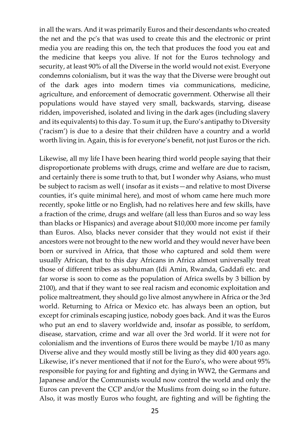in all the wars. And it was primarily Euros and their descendants who created the net and the pc's that was used to create this and the electronic or print media you are reading this on, the tech that produces the food you eat and the medicine that keeps you alive. If not for the Euros technology and security, at least 90% of all the Diverse in the world would not exist. Everyone condemns colonialism, but it was the way that the Diverse were brought out of the dark ages into modern times via communications, medicine, agriculture, and enforcement of democratic government. Otherwise all their populations would have stayed very small, backwards, starving, disease ridden, impoverished, isolated and living in the dark ages (including slavery and its equivalents) to this day. To sum it up, the Euro's antipathy to Diversity ('racism') is due to a desire that their children have a country and a world worth living in. Again, this is for everyone's benefit, not just Euros or the rich.

Likewise, all my life I have been hearing third world people saying that their disproportionate problems with drugs, crime and welfare are due to racism, and certainly there is some truth to that, but I wonder why Asians, who must be subject to racism as well ( insofar as it exists—and relative to most Diverse counties, it's quite minimal here), and most of whom came here much more recently, spoke little or no English, had no relatives here and few skills, have a fraction of the crime, drugs and welfare (all less than Euros and so way less than blacks or Hispanics) and average about \$10,000 more income per family than Euros. Also, blacks never consider that they would not exist if their ancestors were not brought to the new world and they would never have been born or survived in Africa, that those who captured and sold them were usually African, that to this day Africans in Africa almost universally treat those of different tribes as subhuman (Idi Amin, Rwanda, Gaddafi etc. and far worse is soon to come as the population of Africa swells by 3 billion by 2100), and that if they want to see real racism and economic exploitation and police maltreatment, they should go live almost anywhere in Africa or the 3rd world. Returning to Africa or Mexico etc. has always been an option, but except for criminals escaping justice, nobody goes back. And it was the Euros who put an end to slavery worldwide and, insofar as possible, to serfdom, disease, starvation, crime and war all over the 3rd world. If it were not for colonialism and the inventions of Euros there would be maybe 1/10 as many Diverse alive and they would mostly still be living as they did 400 years ago. Likewise, it's never mentioned that if not for the Euro's, who were about 95% responsible for paying for and fighting and dying in WW2, the Germans and Japanese and/or the Communists would now control the world and only the Euros can prevent the CCP and/or the Muslims from doing so in the future. Also, it was mostly Euros who fought, are fighting and will be fighting the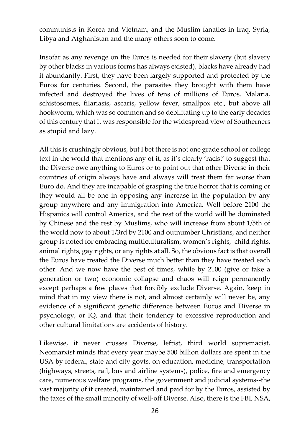communists in Korea and Vietnam, and the Muslim fanatics in Iraq, Syria, Libya and Afghanistan and the many others soon to come.

Insofar as any revenge on the Euros is needed for their slavery (but slavery by other blacks in various forms has always existed), blacks have already had it abundantly. First, they have been largely supported and protected by the Euros for centuries. Second, the parasites they brought with them have infected and destroyed the lives of tens of millions of Euros. Malaria, schistosomes, filariasis, ascaris, yellow fever, smallpox etc., but above all hookworm, which was so common and so debilitating up to the early decades of this century that it was responsible for the widespread view of Southerners as stupid and lazy.

All this is crushingly obvious, but I bet there is not one grade school or college text in the world that mentions any of it, as it's clearly 'racist' to suggest that the Diverse owe anything to Euros or to point out that other Diverse in their countries of origin always have and always will treat them far worse than Euro do. And they are incapable of grasping the true horror that is coming or they would all be one in opposing any increase in the population by any group anywhere and any immigration into America. Well before 2100 the Hispanics will control America, and the rest of the world will be dominated by Chinese and the rest by Muslims, who will increase from about 1/5th of the world now to about 1/3rd by 2100 and outnumber Christians, and neither group is noted for embracing multiculturalism, women's rights, child rights, animal rights, gay rights, or any rights at all. So, the obvious fact is that overall the Euros have treated the Diverse much better than they have treated each other. And we now have the best of times, while by 2100 (give or take a generation or two) economic collapse and chaos will reign permanently except perhaps a few places that forcibly exclude Diverse. Again, keep in mind that in my view there is not, and almost certainly will never be, any evidence of a significant genetic difference between Euros and Diverse in psychology, or IQ, and that their tendency to excessive reproduction and other cultural limitations are accidents of history.

Likewise, it never crosses Diverse, leftist, third world supremacist, Neomarxist minds that every year maybe 500 billion dollars are spent in the USA by federal, state and city govts. on education, medicine, transportation (highways, streets, rail, bus and airline systems), police, fire and emergency care, numerous welfare programs, the government and judicial systems--the vast majority of it created, maintained and paid for by the Euros, assisted by the taxes of the small minority of well-off Diverse. Also, there is the FBI, NSA,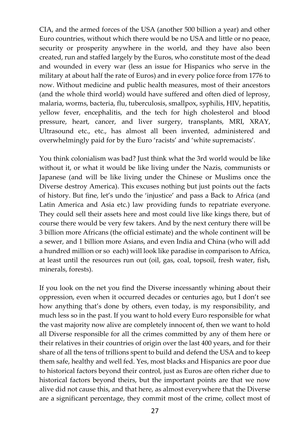CIA, and the armed forces of the USA (another 500 billion a year) and other Euro countries, without which there would be no USA and little or no peace, security or prosperity anywhere in the world, and they have also been created, run and staffed largely by the Euros, who constitute most of the dead and wounded in every war (less an issue for Hispanics who serve in the military at about half the rate of Euros) and in every police force from 1776 to now. Without medicine and public health measures, most of their ancestors (and the whole third world) would have suffered and often died of leprosy, malaria, worms, bacteria, flu, tuberculosis, smallpox, syphilis, HIV, hepatitis, yellow fever, encephalitis, and the tech for high cholesterol and blood pressure, heart, cancer, and liver surgery, transplants, MRI, XRAY, Ultrasound etc., etc., has almost all been invented, administered and overwhelmingly paid for by the Euro 'racists' and 'white supremacists'.

You think colonialism was bad? Just think what the 3rd world would be like without it, or what it would be like living under the Nazis, communists or Japanese (and will be like living under the Chinese or Muslims once the Diverse destroy America). This excuses nothing but just points out the facts of history. But fine, let's undo the 'injustice' and pass a Back to Africa (and Latin America and Asia etc.) law providing funds to repatriate everyone. They could sell their assets here and most could live like kings there, but of course there would be very few takers. And by the next century there will be 3 billion more Africans (the official estimate) and the whole continent will be a sewer, and 1 billion more Asians, and even India and China (who will add a hundred million or so each) will look like paradise in comparison to Africa, at least until the resources run out (oil, gas, coal, topsoil, fresh water, fish, minerals, forests).

If you look on the net you find the Diverse incessantly whining about their oppression, even when it occurred decades or centuries ago, but I don't see how anything that's done by others, even today, is my responsibility, and much less so in the past. If you want to hold every Euro responsible for what the vast majority now alive are completely innocent of, then we want to hold all Diverse responsible for all the crimes committed by any of them here or their relatives in their countries of origin over the last 400 years, and for their share of all the tens of trillions spent to build and defend the USA and to keep them safe, healthy and well fed. Yes, most blacks and Hispanics are poor due to historical factors beyond their control, just as Euros are often richer due to historical factors beyond theirs, but the important points are that we now alive did not cause this, and that here, as almost everywhere that the Diverse are a significant percentage, they commit most of the crime, collect most of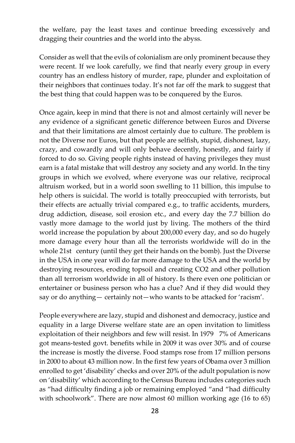the welfare, pay the least taxes and continue breeding excessively and dragging their countries and the world into the abyss.

Consider as well that the evils of colonialism are only prominent because they were recent. If we look carefully, we find that nearly every group in every country has an endless history of murder, rape, plunder and exploitation of their neighbors that continues today. It's not far off the mark to suggest that the best thing that could happen was to be conquered by the Euros.

Once again, keep in mind that there is not and almost certainly will never be any evidence of a significant genetic difference between Euros and Diverse and that their limitations are almost certainly due to culture. The problem is not the Diverse nor Euros, but that people are selfish, stupid, dishonest, lazy, crazy, and cowardly and will only behave decently, honestly, and fairly if forced to do so. Giving people rights instead of having privileges they must earn is a fatal mistake that will destroy any society and any world. In the tiny groups in which we evolved, where everyone was our relative, reciprocal altruism worked, but in a world soon swelling to 11 billion, this impulse to help others is suicidal. The world is totally preoccupied with terrorists, but their effects are actually trivial compared e.g., to traffic accidents, murders, drug addiction, disease, soil erosion etc., and every day the 7.7 billion do vastly more damage to the world just by living. The mothers of the third world increase the population by about 200,000 every day, and so do hugely more damage every hour than all the terrorists worldwide will do in the whole 21st century (until they get their hands on the bomb). Just the Diverse in the USA in one year will do far more damage to the USA and the world by destroying resources, eroding topsoil and creating CO2 and other pollution than all terrorism worldwide in all of history. Is there even one politician or entertainer or business person who has a clue? And if they did would they say or do anything— certainly not—who wants to be attacked for 'racism'.

People everywhere are lazy, stupid and dishonest and democracy, justice and equality in a large Diverse welfare state are an open invitation to limitless exploitation of their neighbors and few will resist. In 1979 7% of Americans got means-tested govt. benefits while in 2009 it was over 30% and of course the increase is mostly the diverse. Food stamps rose from 17 million persons in 2000 to about 43 million now. In the first few years of Obama over 3 million enrolled to get 'disability' checks and over 20% of the adult population is now on 'disability' which according to the Census Bureau includes categories such as "had difficulty finding a job or remaining employed "and "had difficulty with schoolwork". There are now almost 60 million working age (16 to 65)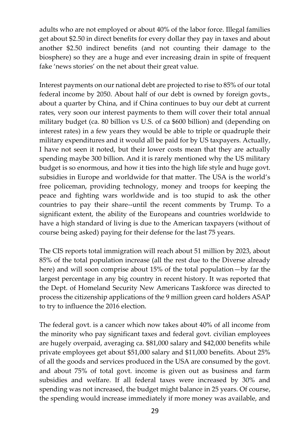adults who are not employed or about 40% of the labor force. Illegal families get about \$2.50 in direct benefits for every dollar they pay in taxes and about another \$2.50 indirect benefits (and not counting their damage to the biosphere) so they are a huge and ever increasing drain in spite of frequent fake 'news stories' on the net about their great value.

Interest payments on our national debt are projected to rise to 85% of our total federal income by 2050. About half of our debt is owned by foreign govts., about a quarter by China, and if China continues to buy our debt at current rates, very soon our interest payments to them will cover their total annual military budget (ca. 80 billion vs U.S. of ca \$600 billion) and (depending on interest rates) in a few years they would be able to triple or quadruple their military expenditures and it would all be paid for by US taxpayers. Actually, I have not seen it noted, but their lower costs mean that they are actually spending maybe 300 billion. And it is rarely mentioned why the US military budget is so enormous, and how it ties into the high life style and huge govt. subsidies in Europe and worldwide for that matter. The USA is the world's free policeman, providing technology, money and troops for keeping the peace and fighting wars worldwide and is too stupid to ask the other countries to pay their share--until the recent comments by Trump. To a significant extent, the ability of the Europeans and countries worldwide to have a high standard of living is due to the American taxpayers (without of course being asked) paying for their defense for the last 75 years.

The CIS reports total immigration will reach about 51 million by 2023, about 85% of the total population increase (all the rest due to the Diverse already here) and will soon comprise about 15% of the total population—by far the largest percentage in any big country in recent history. It was reported that the Dept. of Homeland Security New Americans Taskforce was directed to process the citizenship applications of the 9 million green card holders ASAP to try to influence the 2016 election.

The federal govt. is a cancer which now takes about 40% of all income from the minority who pay significant taxes and federal govt. civilian employees are hugely overpaid, averaging ca. \$81,000 salary and \$42,000 benefits while private employees get about \$51,000 salary and \$11,000 benefits. About 25% of all the goods and services produced in the USA are consumed by the govt. and about 75% of total govt. income is given out as business and farm subsidies and welfare. If all federal taxes were increased by 30% and spending was not increased, the budget might balance in 25 years. Of course, the spending would increase immediately if more money was available, and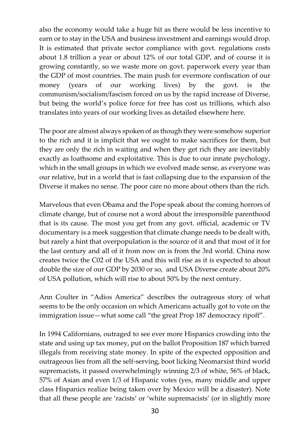also the economy would take a huge hit as there would be less incentive to earn or to stay in the USA and business investment and earnings would drop. It is estimated that private sector compliance with govt. regulations costs about 1.8 trillion a year or about 12% of our total GDP, and of course it is growing constantly, so we waste more on govt. paperwork every year than the GDP of most countries. The main push for evermore confiscation of our money (years of our working lives) by the govt. is the communism/socialism/fascism forced on us by the rapid increase of Diverse, but being the world's police force for free has cost us trillions, which also translates into years of our working lives as detailed elsewhere here.

The poor are almost always spoken of as though they were somehow superior to the rich and it is implicit that we ought to make sacrifices for them, but they are only the rich in waiting and when they get rich they are inevitably exactly as loathsome and exploitative. This is due to our innate psychology, which in the small groups in which we evolved made sense, as everyone was our relative, but in a world that is fast collapsing due to the expansion of the Diverse it makes no sense. The poor care no more about others than the rich.

Marvelous that even Obama and the Pope speak about the coming horrors of climate change, but of course not a word about the irresponsible parenthood that is its cause. The most you get from any govt. official, academic or TV documentary is a meek suggestion that climate change needs to be dealt with, but rarely a hint that overpopulation is the source of it and that most of it for the last century and all of it from now on is from the 3rd world. China now creates twice the C02 of the USA and this will rise as it is expected to about double the size of our GDP by 2030 or so, and USA Diverse create about 20% of USA pollution, which will rise to about 50% by the next century.

Ann Coulter in "Adios America" describes the outrageous story of what seems to be the only occasion on which Americans actually got to vote on the immigration issue—what some call "the great Prop 187 democracy ripoff".

In 1994 Californians, outraged to see ever more Hispanics crowding into the state and using up tax money, put on the ballot Proposition 187 which barred illegals from receiving state money. In spite of the expected opposition and outrageous lies from all the self-serving, boot licking Neomarxist third world supremacists, it passed overwhelmingly winning 2/3 of white, 56% of black, 57% of Asian and even 1/3 of Hispanic votes (yes, many middle and upper class Hispanics realize being taken over by Mexico will be a disaster). Note that all these people are 'racists' or 'white supremacists' (or in slightly more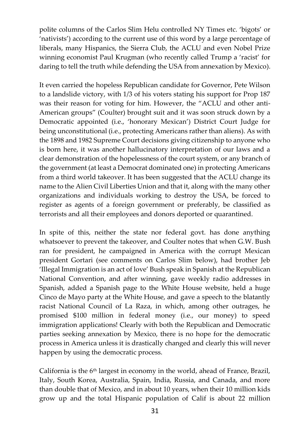polite columns of the Carlos Slim Helu controlled NY Times etc. 'bigots' or 'nativists') according to the current use of this word by a large percentage of liberals, many Hispanics, the Sierra Club, the ACLU and even Nobel Prize winning economist Paul Krugman (who recently called Trump a 'racist' for daring to tell the truth while defending the USA from annexation by Mexico).

It even carried the hopeless Republican candidate for Governor, Pete Wilson to a landslide victory, with 1/3 of his voters stating his support for Prop 187 was their reason for voting for him. However, the "ACLU and other anti-American groups" (Coulter) brought suit and it was soon struck down by a Democratic appointed (i.e., 'honorary Mexican') District Court Judge for being unconstitutional (i.e., protecting Americans rather than aliens). As with the 1898 and 1982 Supreme Court decisions giving citizenship to anyone who is born here, it was another hallucinatory interpretation of our laws and a clear demonstration of the hopelessness of the court system, or any branch of the government (at least a Democrat dominated one) in protecting Americans from a third world takeover. It has been suggested that the ACLU change its name to the Alien Civil Liberties Union and that it, along with the many other organizations and individuals working to destroy the USA, be forced to register as agents of a foreign government or preferably, be classified as terrorists and all their employees and donors deported or quarantined.

In spite of this, neither the state nor federal govt. has done anything whatsoever to prevent the takeover, and Coulter notes that when G.W. Bush ran for president, he campaigned in America with the corrupt Mexican president Gortari (see comments on Carlos Slim below), had brother Jeb 'Illegal Immigration is an act of love' Bush speak in Spanish at the Republican National Convention, and after winning, gave weekly radio addresses in Spanish, added a Spanish page to the White House website, held a huge Cinco de Mayo party at the White House, and gave a speech to the blatantly racist National Council of La Raza, in which, among other outrages, he promised \$100 million in federal money (i.e., our money) to speed immigration applications! Clearly with both the Republican and Democratic parties seeking annexation by Mexico, there is no hope for the democratic process in America unless it is drastically changed and clearly this will never happen by using the democratic process.

California is the 6th largest in economy in the world, ahead of France, Brazil, Italy, South Korea, Australia, Spain, India, Russia, and Canada, and more than double that of Mexico, and in about 10 years, when their 10 million kids grow up and the total Hispanic population of Calif is about 22 million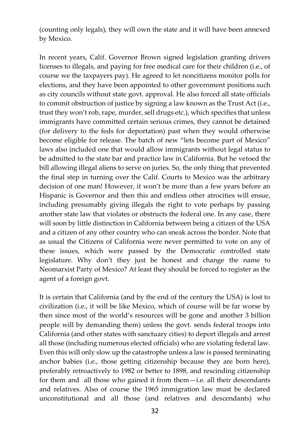(counting only legals), they will own the state and it will have been annexed by Mexico.

In recent years, Calif. Governor Brown signed legislation granting drivers licenses to illegals, and paying for free medical care for their children (i.e., of course we the taxpayers pay). He agreed to let noncitizens monitor polls for elections, and they have been appointed to other government positions such as city councils without state govt. approval. He also forced all state officials to commit obstruction of justice by signing a law known as the Trust Act (i.e., trust they won't rob, rape, murder, sell drugs etc.), which specifies that unless immigrants have committed certain serious crimes, they cannot be detained (for delivery to the feds for deportation) past when they would otherwise become eligible for release. The batch of new "lets become part of Mexico" laws also included one that would allow immigrants without legal status to be admitted to the state bar and practice law in California. But he vetoed the bill allowing illegal aliens to serve on juries. So, the only thing that prevented the final step in turning over the Calif. Courts to Mexico was the arbitrary decision of one man! However, it won't be more than a few years before an Hispanic is Governor and then this and endless other atrocities will ensue, including presumably giving illegals the right to vote perhaps by passing another state law that violates or obstructs the federal one. In any case, there will soon by little distinction in California between being a citizen of the USA and a citizen of any other country who can sneak across the border. Note that as usual the Citizens of California were never permitted to vote on any of these issues, which were passed by the Democratic controlled state legislature. Why don't they just be honest and change the name to Neomarxist Party of Mexico? At least they should be forced to register as the agent of a foreign govt.

It is certain that California (and by the end of the century the USA) is lost to civilization (i.e., it will be like Mexico, which of course will be far worse by then since most of the world's resources will be gone and another 3 billion people will by demanding them) unless the govt. sends federal troops into California (and other states with sanctuary cities) to deport illegals and arrest all those (including numerous elected officials) who are violating federal law. Even this will only slow up the catastrophe unless a law is passed terminating anchor babies (i.e., those getting citizenship because they are born here), preferably retroactively to 1982 or better to 1898, and rescinding citizenship for them and all those who gained it from them—i.e. all their descendants and relatives. Also of course the 1965 immigration law must be declared unconstitutional and all those (and relatives and descendants) who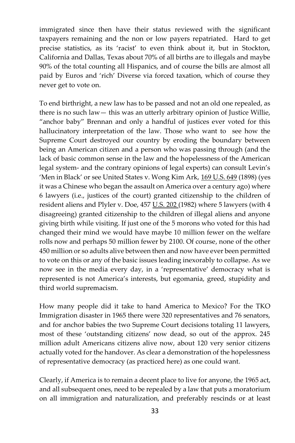immigrated since then have their status reviewed with the significant taxpayers remaining and the non or low payers repatriated. Hard to get precise statistics, as its 'racist' to even think about it, but in Stockton, California and Dallas, Texas about 70% of all births are to illegals and maybe 90% of the total counting all Hispanics, and of course the bills are almost all paid by Euros and 'rich' Diverse via forced taxation, which of course they never get to vote on.

To end birthright, a new law has to be passed and not an old one repealed, as there is no such law— this was an utterly arbitrary opinion of Justice Willie, "anchor baby" Brennan and only a handful of justices ever voted for this hallucinatory interpretation of the law. Those who want to see how the Supreme Court destroyed our country by eroding the boundary between being an American citizen and a person who was passing through (and the lack of basic common sense in the law and the hopelessness of the American legal system- and the contrary opinions of legal experts) can consult Levin's 'Men in Black' or see United States v. Wong Kim Ark, [169 U.S. 649](https://en.wikipedia.org/wiki/United_States_Reports) (1898) (yes it was a Chinese who began the assault on America over a century ago) where 6 lawyers (i.e., justices of the court) granted citizenship to the children of resident aliens and Plyler v. Doe, 457 [U.S. 202 \(](https://en.wikipedia.org/wiki/United_States_Reports)1982) where 5 lawyers (with 4 disagreeing) granted citizenship to the children of illegal aliens and anyone giving birth while visiting. If just one of the 5 morons who voted for this had changed their mind we would have maybe 10 million fewer on the welfare rolls now and perhaps 50 million fewer by 2100. Of course, none of the other 450 million or so adults alive between then and now have ever been permitted to vote on this or any of the basic issues leading inexorably to collapse. As we now see in the media every day, in a 'representative' democracy what is represented is not America's interests, but egomania, greed, stupidity and third world supremacism.

How many people did it take to hand America to Mexico? For the TKO Immigration disaster in 1965 there were 320 representatives and 76 senators, and for anchor babies the two Supreme Court decisions totaling 11 lawyers, most of these 'outstanding citizens' now dead, so out of the approx. 245 million adult Americans citizens alive now, about 120 very senior citizens actually voted for the handover. As clear a demonstration of the hopelessness of representative democracy (as practiced here) as one could want.

Clearly, if America is to remain a decent place to live for anyone, the 1965 act, and all subsequent ones, need to be repealed by a law that puts a moratorium on all immigration and naturalization, and preferably rescinds or at least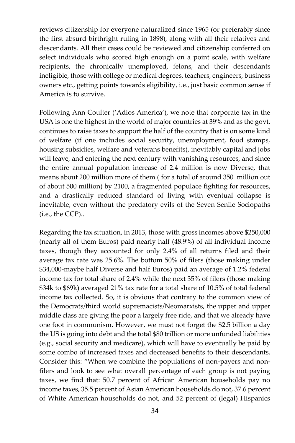reviews citizenship for everyone naturalized since 1965 (or preferably since the first absurd birthright ruling in 1898), along with all their relatives and descendants. All their cases could be reviewed and citizenship conferred on select individuals who scored high enough on a point scale, with welfare recipients, the chronically unemployed, felons, and their descendants ineligible, those with college or medical degrees, teachers, engineers, business owners etc., getting points towards eligibility, i.e., just basic common sense if America is to survive.

Following Ann Coulter ('Adios America'), we note that corporate tax in the USA is one the highest in the world of major countries at 39% and as the govt. continues to raise taxes to support the half of the country that is on some kind of welfare (if one includes social security, unemployment, food stamps, housing subsidies, welfare and veterans benefits), inevitably capital and jobs will leave, and entering the next century with vanishing resources, and since the entire annual population increase of 2.4 million is now Diverse, that means about 200 million more of them ( for a total of around 350 million out of about 500 million) by 2100, a fragmented populace fighting for resources, and a drastically reduced standard of living with eventual collapse is inevitable, even without the predatory evils of the Seven Senile Sociopaths  $(i.e., the CCP).$ 

Regarding the tax situation, in 2013, those with gross incomes above \$250,000 (nearly all of them Euros) paid nearly half (48.9%) of all individual income taxes, though they accounted for only 2.4% of all returns filed and their average tax rate was 25.6%. The bottom 50% of filers (those making under \$34,000-maybe half Diverse and half Euros) paid an average of 1.2% federal income tax for total share of 2.4% while the next 35% of filers (those making \$34k to \$69k) averaged 21% tax rate for a total share of 10.5% of total federal income tax collected. So, it is obvious that contrary to the common view of the Democrats/third world supremacists/Neomarxists, the upper and upper middle class are giving the poor a largely free ride, and that we already have one foot in communism. However, we must not forget the \$2.5 billion a day the US is going into debt and the total \$80 trillion or more unfunded liabilities (e.g., social security and medicare), which will have to eventually be paid by some combo of increased taxes and decreased benefits to their descendants. Consider this: "When we combine the populations of non-payers and nonfilers and look to see what overall percentage of each group is not paying taxes, we find that: 50.7 percent of African American households pay no income taxes, 35.5 percent of Asian American households do not, 37.6 percent of White American households do not, and 52 percent of (legal) Hispanics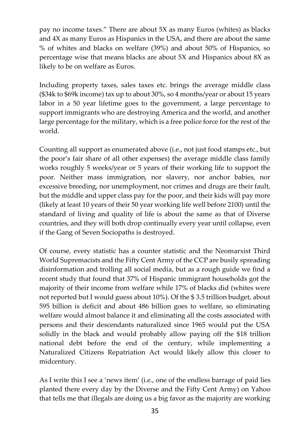pay no income taxes." There are about 5X as many Euros (whites) as blacks and 4X as many Euros as Hispanics in the USA, and there are about the same % of whites and blacks on welfare (39%) and about 50% of Hispanics, so percentage wise that means blacks are about 5X and Hispanics about 8X as likely to be on welfare as Euros.

Including property taxes, sales taxes etc. brings the average middle class (\$34k to \$69k income) tax up to about 30%, so 4 months/year or about 15 years labor in a 50 year lifetime goes to the government, a large percentage to support immigrants who are destroying America and the world, and another large percentage for the military, which is a free police force for the rest of the world.

Counting all support as enumerated above (i.e., not just food stamps etc., but the poor's fair share of all other expenses) the average middle class family works roughly 5 weeks/year or 5 years of their working life to support the poor. Neither mass immigration, nor slavery, nor anchor babies, nor excessive breeding, nor unemployment, nor crimes and drugs are their fault, but the middle and upper class pay for the poor, and their kids will pay more (likely at least 10 years of their 50 year working life well before 2100) until the standard of living and quality of life is about the same as that of Diverse countries, and they will both drop continually every year until collapse, even if the Gang of Seven Sociopaths is destroyed.

Of course, every statistic has a counter statistic and the Neomarxist Third World Supremacists and the Fifty Cent Army of the CCP are busily spreading disinformation and trolling all social media, but as a rough guide we find a recent study that found that 37% of Hispanic immigrant households got the majority of their income from welfare while 17% of blacks did (whites were not reported but I would guess about 10%). Of the \$ 3.5 trillion budget, about 595 billion is deficit and about 486 billion goes to welfare, so eliminating welfare would almost balance it and eliminating all the costs associated with persons and their descendants naturalized since 1965 would put the USA solidly in the black and would probably allow paying off the \$18 trillion national debt before the end of the century, while implementing a Naturalized Citizens Repatriation Act would likely allow this closer to midcentury.

As I write this I see a 'news item' (i.e., one of the endless barrage of paid lies planted there every day by the Diverse and the Fifty Cent Army) on Yahoo that tells me that illegals are doing us a big favor as the majority are working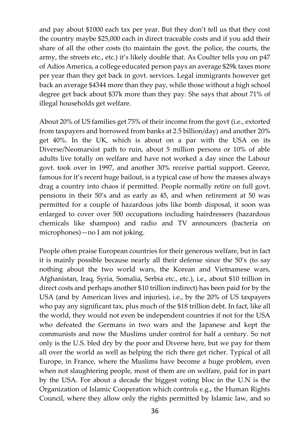and pay about \$1000 each tax per year. But they don't tell us that they cost the country maybe \$25,000 each in direct traceable costs and if you add their share of all the other costs (to maintain the govt. the police, the courts, the army, the streets etc., etc.) it's likely double that. As Coulter tells you on p47 of Adios America, a college educated person pays an average \$29k taxes more per year than they get back in govt. services. Legal immigrants however get back an average \$4344 more than they pay, while those without a high school degree get back about \$37k more than they pay. She says that about 71% of illegal households get welfare.

About 20% of US families get 75% of their income from the govt (i.e., extorted from taxpayers and borrowed from banks at 2.5 billion/day) and another 20% get 40%. In the UK, which is about on a par with the USA on its Diverse/Neomarxist path to ruin, about 5 million persons or 10% of able adults live totally on welfare and have not worked a day since the Labour govt. took over in 1997, and another 30% receive partial support. Greece, famous for it's recent huge bailout, is a typical case of how the masses always drag a country into chaos if permitted. People normally retire on full govt. pensions in their 50's and as early as 45, and when retirement at 50 was permitted for a couple of hazardous jobs like bomb disposal, it soon was enlarged to cover over 500 occupations including hairdressers (hazardous chemicals like shampoo) and radio and TV announcers (bacteria on microphones)—no I am not joking.

People often praise European countries for their generous welfare, but in fact it is mainly possible because nearly all their defense since the 50's (to say nothing about the two world wars, the Korean and Vietnamese wars, Afghanistan, Iraq, Syria, Somalia, Serbia etc., etc.), i.e., about \$10 trillion in direct costs and perhaps another \$10 trillion indirect) has been paid for by the USA (and by American lives and injuries), i.e., by the 20% of US taxpayers who pay any significant tax, plus much of the \$18 trillion debt. In fact, like all the world, they would not even be independent countries if not for the USA who defeated the Germans in two wars and the Japanese and kept the communists and now the Muslims under control for half a century. So not only is the U.S. bled dry by the poor and Diverse here, but we pay for them all over the world as well as helping the rich there get richer. Typical of all Europe, in France, where the Muslims have become a huge problem, even when not slaughtering people, most of them are on welfare, paid for in part by the USA. For about a decade the biggest voting bloc in the U.N is the Organization of Islamic Cooperation which controls e.g., the Human Rights Council, where they allow only the rights permitted by Islamic law, and so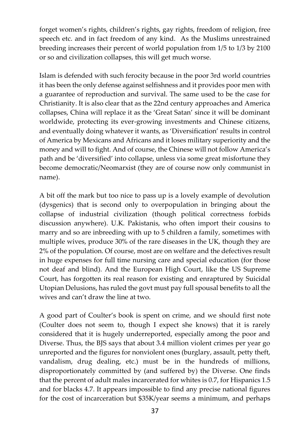forget women's rights, children's rights, gay rights, freedom of religion, free speech etc. and in fact freedom of any kind. As the Muslims unrestrained breeding increases their percent of world population from 1/5 to 1/3 by 2100 or so and civilization collapses, this will get much worse.

Islam is defended with such ferocity because in the poor 3rd world countries it has been the only defense against selfishness and it provides poor men with a guarantee of reproduction and survival. The same used to be the case for Christianity. It is also clear that as the 22nd century approaches and America collapses, China will replace it as the 'Great Satan' since it will be dominant worldwide, protecting its ever-growing investments and Chinese citizens, and eventually doing whatever it wants, as 'Diversification' results in control of America by Mexicans and Africans and it loses military superiority and the money and will to fight. And of course, the Chinese will not follow America's path and be 'diversified' into collapse, unless via some great misfortune they become democratic/Neomarxist (they are of course now only communist in name).

A bit off the mark but too nice to pass up is a lovely example of devolution (dysgenics) that is second only to overpopulation in bringing about the collapse of industrial civilization (though political correctness forbids discussion anywhere). U.K. Pakistanis, who often import their cousins to marry and so are inbreeding with up to 5 children a family, sometimes with multiple wives, produce 30% of the rare diseases in the UK, though they are 2% of the population. Of course, most are on welfare and the defectives result in huge expenses for full time nursing care and special education (for those not deaf and blind). And the European High Court, like the US Supreme Court, has forgotten its real reason for existing and enraptured by Suicidal Utopian Delusions, has ruled the govt must pay full spousal benefits to all the wives and can't draw the line at two.

A good part of Coulter's book is spent on crime, and we should first note (Coulter does not seem to, though I expect she knows) that it is rarely considered that it is hugely underreported, especially among the poor and Diverse. Thus, the BJS says that about 3.4 million violent crimes per year go unreported and the figures for nonviolent ones (burglary, assault, petty theft, vandalism, drug dealing, etc.) must be in the hundreds of millions, disproportionately committed by (and suffered by) the Diverse. One finds that the percent of adult males incarcerated for whites is 0.7, for Hispanics 1.5 and for blacks 4.7. It appears impossible to find any precise national figures for the cost of incarceration but \$35K/year seems a minimum, and perhaps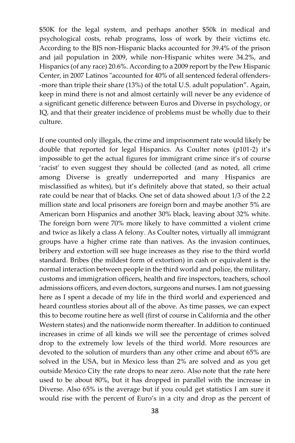\$50K for the legal system, and perhaps another \$50k in medical and psychological costs, rehab programs, loss of work by their victims etc. According to the BJS non-Hispanic blacks accounted for 39.4% of the prison and jail population in 2009, while non-Hispanic whites were 34.2%, and Hispanics (of any race) 20.6%. According to a 2009 report by the Pew Hispanic Center, in 2007 Latinos "accounted for 40% of all sentenced federal offenders- -more than triple their share (13%) of the total U.S. adult population". Again, keep in mind there is not and almost certainly will never be any evidence of a significant genetic difference between Euros and Diverse in psychology, or IQ, and that their greater incidence of problems must be wholly due to their culture.

If one counted only illegals, the crime and imprisonment rate would likely be double that reported for legal Hispanics. As Coulter notes (p101-2) it's impossible to get the actual figures for immigrant crime since it's of course 'racist' to even suggest they should be collected (and as noted, all crime among Diverse is greatly underreported and many Hispanics are misclassified as whites), but it's definitely above that stated, so their actual rate could be near that of blacks. One set of data showed about 1/3 of the 2.2 million state and local prisoners are foreign born and maybe another 5% are American born Hispanics and another 30% black, leaving about 32% white. The foreign born were 70% more likely to have committed a violent crime and twice as likely a class A felony. As Coulter notes, virtually all immigrant groups have a higher crime rate than natives. As the invasion continues, bribery and extortion will see huge increases as they rise to the third world standard. Bribes (the mildest form of extortion) in cash or equivalent is the normal interaction between people in the third world and police, the military, customs and immigration officers, health and fire inspectors, teachers, school admissions officers, and even doctors, surgeons and nurses. I am not guessing here as I spent a decade of my life in the third world and experienced and heard countless stories about all of the above. As time passes, we can expect this to become routine here as well (first of course in California and the other Western states) and the nationwide norm thereafter. In addition to continued increases in crime of all kinds we will see the percentage of crimes solved drop to the extremely low levels of the third world. More resources are devoted to the solution of murders than any other crime and about 65% are solved in the USA, but in Mexico less than 2% are solved and as you get outside Mexico City the rate drops to near zero. Also note that the rate here used to be about 80%, but it has dropped in parallel with the increase in Diverse. Also 65% is the average but if you could get statistics I am sure it would rise with the percent of Euro's in a city and drop as the percent of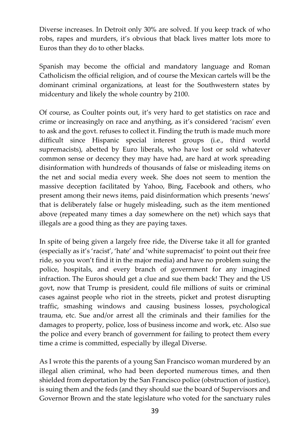Diverse increases. In Detroit only 30% are solved. If you keep track of who robs, rapes and murders, it's obvious that black lives matter lots more to Euros than they do to other blacks.

Spanish may become the official and mandatory language and Roman Catholicism the official religion, and of course the Mexican cartels will be the dominant criminal organizations, at least for the Southwestern states by midcentury and likely the whole country by 2100.

Of course, as Coulter points out, it's very hard to get statistics on race and crime or increasingly on race and anything, as it's considered 'racism' even to ask and the govt. refuses to collect it. Finding the truth is made much more difficult since Hispanic special interest groups (i.e., third world supremacists), abetted by Euro liberals, who have lost or sold whatever common sense or decency they may have had, are hard at work spreading disinformation with hundreds of thousands of false or misleading items on the net and social media every week. She does not seem to mention the massive deception facilitated by Yahoo, Bing, Facebook and others, who present among their news items, paid disinformation which presents 'news' that is deliberately false or hugely misleading, such as the item mentioned above (repeated many times a day somewhere on the net) which says that illegals are a good thing as they are paying taxes.

In spite of being given a largely free ride, the Diverse take it all for granted (especially as it's 'racist', 'hate' and 'white supremacist' to point out their free ride, so you won't find it in the major media) and have no problem suing the police, hospitals, and every branch of government for any imagined infraction. The Euros should get a clue and sue them back! They and the US govt, now that Trump is president, could file millions of suits or criminal cases against people who riot in the streets, picket and protest disrupting traffic, smashing windows and causing business losses, psychological trauma, etc. Sue and/or arrest all the criminals and their families for the damages to property, police, loss of business income and work, etc. Also sue the police and every branch of government for failing to protect them every time a crime is committed, especially by illegal Diverse.

As I wrote this the parents of a young San Francisco woman murdered by an illegal alien criminal, who had been deported numerous times, and then shielded from deportation by the San Francisco police (obstruction of justice), is suing them and the feds (and they should sue the board of Supervisors and Governor Brown and the state legislature who voted for the sanctuary rules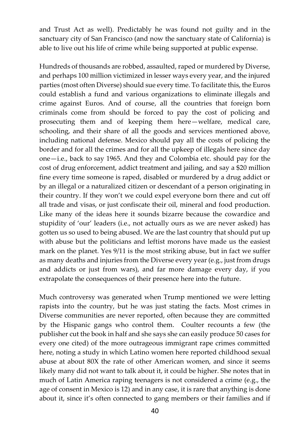and Trust Act as well). Predictably he was found not guilty and in the sanctuary city of San Francisco (and now the sanctuary state of California) is able to live out his life of crime while being supported at public expense.

Hundreds of thousands are robbed, assaulted, raped or murdered by Diverse, and perhaps 100 million victimized in lesser ways every year, and the injured parties (most often Diverse) should sue every time. To facilitate this, the Euros could establish a fund and various organizations to eliminate illegals and crime against Euros. And of course, all the countries that foreign born criminals come from should be forced to pay the cost of policing and prosecuting them and of keeping them here—welfare, medical care, schooling, and their share of all the goods and services mentioned above, including national defense. Mexico should pay all the costs of policing the border and for all the crimes and for all the upkeep of illegals here since day one—i.e., back to say 1965. And they and Colombia etc. should pay for the cost of drug enforcement, addict treatment and jailing, and say a \$20 million fine every time someone is raped, disabled or murdered by a drug addict or by an illegal or a naturalized citizen or descendant of a person originating in their country. If they won't we could expel everyone born there and cut off all trade and visas, or just confiscate their oil, mineral and food production. Like many of the ideas here it sounds bizarre because the cowardice and stupidity of 'our' leaders (i.e., not actually ours as we are never asked) has gotten us so used to being abused. We are the last country that should put up with abuse but the politicians and leftist morons have made us the easiest mark on the planet. Yes 9/11 is the most striking abuse, but in fact we suffer as many deaths and injuries from the Diverse every year (e.g., just from drugs and addicts or just from wars), and far more damage every day, if you extrapolate the consequences of their presence here into the future.

Much controversy was generated when Trump mentioned we were letting rapists into the country, but he was just stating the facts. Most crimes in Diverse communities are never reported, often because they are committed by the Hispanic gangs who control them. Coulter recounts a few (the publisher cut the book in half and she says she can easily produce 50 cases for every one cited) of the more outrageous immigrant rape crimes committed here, noting a study in which Latino women here reported childhood sexual abuse at about 80X the rate of other American women, and since it seems likely many did not want to talk about it, it could be higher. She notes that in much of Latin America raping teenagers is not considered a crime (e.g., the age of consent in Mexico is 12) and in any case, it is rare that anything is done about it, since it's often connected to gang members or their families and if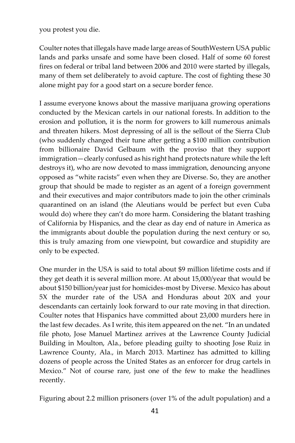you protest you die.

Coulter notes that illegals have made large areas of SouthWestern USA public lands and parks unsafe and some have been closed. Half of some 60 forest fires on federal or tribal land between 2006 and 2010 were started by illegals, many of them set deliberately to avoid capture. The cost of fighting these 30 alone might pay for a good start on a secure border fence.

I assume everyone knows about the massive marijuana growing operations conducted by the Mexican cartels in our national forests. In addition to the erosion and pollution, it is the norm for growers to kill numerous animals and threaten hikers. Most depressing of all is the sellout of the Sierra Club (who suddenly changed their tune after getting a \$100 million contribution from billionaire David Gelbaum with the proviso that they support immigration—clearly confused as his right hand protects nature while the left destroys it), who are now devoted to mass immigration, denouncing anyone opposed as "white racists" even when they are Diverse. So, they are another group that should be made to register as an agent of a foreign government and their executives and major contributors made to join the other criminals quarantined on an island (the Aleutians would be perfect but even Cuba would do) where they can't do more harm. Considering the blatant trashing of California by Hispanics, and the clear as day end of nature in America as the immigrants about double the population during the next century or so, this is truly amazing from one viewpoint, but cowardice and stupidity are only to be expected.

One murder in the USA is said to total about \$9 million lifetime costs and if they get death it is several million more. At about 15,000/year that would be about \$150 billion/year just for homicides-most by Diverse. Mexico has about 5X the murder rate of the USA and Honduras about 20X and your descendants can certainly look forward to our rate moving in that direction. Coulter notes that Hispanics have committed about 23,000 murders here in the last few decades. As I write, this item appeared on the net. "In an undated file photo, Jose Manuel Martinez arrives at the Lawrence County Judicial Building in Moulton, Ala., before pleading guilty to shooting Jose Ruiz in Lawrence County, Ala., in March 2013. Martinez has admitted to killing dozens of people across the United States as an enforcer for drug cartels in Mexico." Not of course rare, just one of the few to make the headlines recently.

Figuring about 2.2 million prisoners (over 1% of the adult population) and a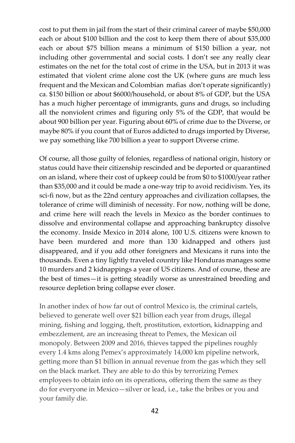cost to put them in jail from the start of their criminal career of maybe \$50,000 each or about \$100 billion and the cost to keep them there of about \$35,000 each or about \$75 billion means a minimum of \$150 billion a year, not including other governmental and social costs. I don't see any really clear estimates on the net for the total cost of crime in the USA, but in 2013 it was estimated that violent crime alone cost the UK (where guns are much less frequent and the Mexican and Colombian mafias don't operate significantly) ca. \$150 billion or about \$6000/household, or about 8% of GDP, but the USA has a much higher percentage of immigrants, guns and drugs, so including all the nonviolent crimes and figuring only 5% of the GDP, that would be about 900 billion per year. Figuring about 60% of crime due to the Diverse, or maybe 80% if you count that of Euros addicted to drugs imported by Diverse, we pay something like 700 billion a year to support Diverse crime.

Of course, all those guilty of felonies, regardless of national origin, history or status could have their citizenship rescinded and be deported or quarantined on an island, where their cost of upkeep could be from \$0 to \$1000/year rather than \$35,000 and it could be made a one-way trip to avoid recidivism. Yes, its sci-fi now, but as the 22nd century approaches and civilization collapses, the tolerance of crime will diminish of necessity. For now, nothing will be done, and crime here will reach the levels in Mexico as the border continues to dissolve and environmental collapse and approaching bankruptcy dissolve the economy. Inside Mexico in 2014 alone, 100 U.S. citizens were known to have been murdered and more than 130 kidnapped and others just disappeared, and if you add other foreigners and Mexicans it runs into the thousands. Even a tiny lightly traveled country like Honduras manages some 10 murders and 2 kidnappings a year of US citizens. And of course, these are the best of times—it is getting steadily worse as unrestrained breeding and resource depletion bring collapse ever closer.

In another index of how far out of control Mexico is, the criminal cartels, believed to generate well over \$21 billion each year from drugs, illegal mining, fishing and logging, theft, prostitution, extortion, kidnapping and embezzlement, are an increasing threat to Pemex, the Mexican oil monopoly. Between 2009 and 2016, thieves tapped the pipelines roughly every 1.4 kms along Pemex's approximately 14,000 km pipeline network, getting more than \$1 billion in annual revenue from the gas which they sell on the black market. They are able to do this by terrorizing Pemex employees to obtain info on its operations, offering them the same as they do for everyone in Mexico—silver or lead, i.e., take the bribes or you and your family die.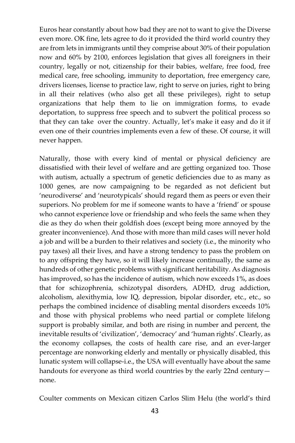Euros hear constantly about how bad they are not to want to give the Diverse even more. OK fine, lets agree to do it provided the third world country they are from lets in immigrants until they comprise about 30% of their population now and 60% by 2100, enforces legislation that gives all foreigners in their country, legally or not, citizenship for their babies, welfare, free food, free medical care, free schooling, immunity to deportation, free emergency care, drivers licenses, license to practice law, right to serve on juries, right to bring in all their relatives (who also get all these privileges), right to setup organizations that help them to lie on immigration forms, to evade deportation, to suppress free speech and to subvert the political process so that they can take over the country. Actually, let's make it easy and do it if even one of their countries implements even a few of these. Of course, it will never happen.

Naturally, those with every kind of mental or physical deficiency are dissatisfied with their level of welfare and are getting organized too. Those with autism, actually a spectrum of genetic deficiencies due to as many as 1000 genes, are now campaigning to be regarded as not deficient but 'neurodiverse' and 'neurotypicals' should regard them as peers or even their superiors. No problem for me if someone wants to have a 'friend' or spouse who cannot experience love or friendship and who feels the same when they die as they do when their goldfish does (except being more annoyed by the greater inconvenience). And those with more than mild cases will never hold a job and will be a burden to their relatives and society (i.e., the minority who pay taxes) all their lives, and have a strong tendency to pass the problem on to any offspring they have, so it will likely increase continually, the same as hundreds of other genetic problems with significant heritability. As diagnosis has improved, so has the incidence of autism, which now exceeds 1%, as does that for schizophrenia, schizotypal disorders, ADHD, drug addiction, alcoholism, alexithymia, low IQ, depression, bipolar disorder, etc., etc., so perhaps the combined incidence of disabling mental disorders exceeds 10% and those with physical problems who need partial or complete lifelong support is probably similar, and both are rising in number and percent, the inevitable results of 'civilization', 'democracy' and 'human rights'. Clearly, as the economy collapses, the costs of health care rise, and an ever-larger percentage are nonworking elderly and mentally or physically disabled, this lunatic system will collapse-i.e., the USA will eventually have about the same handouts for everyone as third world countries by the early 22nd century none.

Coulter comments on Mexican citizen Carlos Slim Helu (the world's third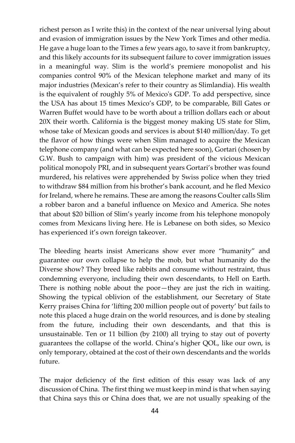richest person as I write this) in the context of the near universal lying about and evasion of immigration issues by the New York Times and other media. He gave a huge loan to the Times a few years ago, to save it from bankruptcy, and this likely accounts for its subsequent failure to cover immigration issues in a meaningful way. Slim is the world's premiere monopolist and his companies control 90% of the Mexican telephone market and many of its major industries (Mexican's refer to their country as Slimlandia). His wealth is the equivalent of roughly 5% of Mexico's GDP. To add perspective, since the USA has about 15 times Mexico's GDP, to be comparable, Bill Gates or Warren Buffet would have to be worth about a trillion dollars each or about 20X their worth. California is the biggest money making US state for Slim, whose take of Mexican goods and services is about \$140 million/day. To get the flavor of how things were when Slim managed to acquire the Mexican telephone company (and what can be expected here soon), Gortari (chosen by G.W. Bush to campaign with him) was president of the vicious Mexican political monopoly PRI, and in subsequent years Gortari's brother was found murdered, his relatives were apprehended by Swiss police when they tried to withdraw \$84 million from his brother's bank account, and he fled Mexico for Ireland, where he remains. These are among the reasons Coulter calls Slim a robber baron and a baneful influence on Mexico and America. She notes that about \$20 billion of Slim's yearly income from his telephone monopoly comes from Mexicans living here. He is Lebanese on both sides, so Mexico has experienced it's own foreign takeover.

The bleeding hearts insist Americans show ever more "humanity" and guarantee our own collapse to help the mob, but what humanity do the Diverse show? They breed like rabbits and consume without restraint, thus condemning everyone, including their own descendants, to Hell on Earth. There is nothing noble about the poor—they are just the rich in waiting. Showing the typical oblivion of the establishment, our Secretary of State Kerry praises China for 'lifting 200 million people out of poverty' but fails to note this placed a huge drain on the world resources, and is done by stealing from the future, including their own descendants, and that this is unsustainable. Ten or 11 billion (by 2100) all trying to stay out of poverty guarantees the collapse of the world. China's higher QOL, like our own, is only temporary, obtained at the cost of their own descendants and the worlds future.

The major deficiency of the first edition of this essay was lack of any discussion of China. The first thing we must keep in mind is that when saying that China says this or China does that, we are not usually speaking of the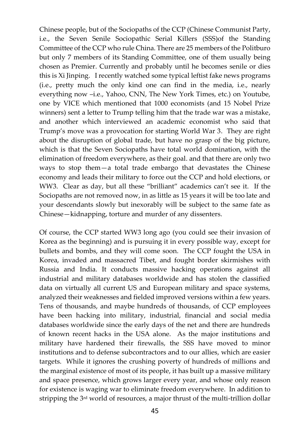Chinese people, but of the Sociopaths of the CCP (Chinese Communist Party, i.e., the Seven Senile Sociopathic Serial Killers (SSS)of the Standing Committee of the CCP who rule China. There are 25 members of the Politburo but only 7 members of its Standing Committee, one of them usually being chosen as Premier. Currently and probably until he becomes senile or dies this is Xi Jinping. I recently watched some typical leftist fake news programs (i.e., pretty much the only kind one can find in the media, i.e., nearly everything now –i.e., Yahoo, CNN, The New York Times, etc.) on Youtube, one by VICE which mentioned that 1000 economists (and 15 Nobel Prize winners) sent a letter to Trump telling him that the trade war was a mistake, and another which interviewed an academic economist who said that Trump's move was a provocation for starting World War 3. They are right about the disruption of global trade, but have no grasp of the big picture, which is that the Seven Sociopaths have total world domination, with the elimination of freedom everywhere, as their goal. and that there are only two ways to stop them—a total trade embargo that devastates the Chinese economy and leads their military to force out the CCP and hold elections, or WW3. Clear as day, but all these "brilliant" academics can't see it. If the Sociopaths are not removed now, in as little as 15 years it will be too late and your descendants slowly but inexorably will be subject to the same fate as Chinese—kidnapping, torture and murder of any dissenters.

Of course, the CCP started WW3 long ago (you could see their invasion of Korea as the beginning) and is pursuing it in every possible way, except for bullets and bombs, and they will come soon. The CCP fought the USA in Korea, invaded and massacred Tibet, and fought border skirmishes with Russia and India. It conducts massive hacking operations against all industrial and military databases worldwide and has stolen the classified data on virtually all current US and European military and space systems, analyzed their weaknesses and fielded improved versions within a few years. Tens of thousands, and maybe hundreds of thousands, of CCP employees have been hacking into military, industrial, financial and social media databases worldwide since the early days of the net and there are hundreds of known recent hacks in the USA alone. As the major institutions and military have hardened their firewalls, the SSS have moved to minor institutions and to defense subcontractors and to our allies, which are easier targets. While it ignores the crushing poverty of hundreds of millions and the marginal existence of most of its people, it has built up a massive military and space presence, which grows larger every year, and whose only reason for existence is waging war to eliminate freedom everywhere. In addition to stripping the 3<sup>rd</sup> world of resources, a major thrust of the multi-trillion dollar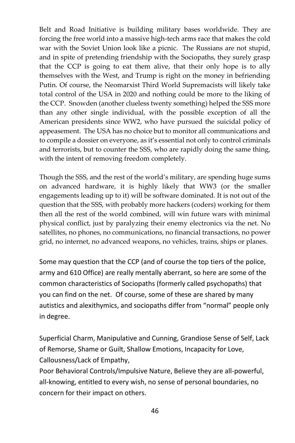Belt and Road Initiative is building military bases worldwide. They are forcing the free world into a massive high-tech arms race that makes the cold war with the Soviet Union look like a picnic. The Russians are not stupid, and in spite of pretending friendship with the Sociopaths, they surely grasp that the CCP is going to eat them alive, that their only hope is to ally themselves with the West, and Trump is right on the money in befriending Putin. Of course, the Neomarxist Third World Supremacists will likely take total control of the USA in 2020 and nothing could be more to the liking of the CCP. Snowden (another clueless twenty something) helped the SSS more than any other single individual, with the possible exception of all the American presidents since WW2, who have pursued the suicidal policy of appeasement. The USA has no choice but to monitor all communications and to compile a dossier on everyone, as it's essential not only to control criminals and terrorists, but to counter the SSS, who are rapidly doing the same thing, with the intent of removing freedom completely.

Though the SSS, and the rest of the world's military, are spending huge sums on advanced hardware, it is highly likely that WW3 (or the smaller engagements leading up to it) will be software dominated. It is not out of the question that the SSS, with probably more hackers (coders) working for them then all the rest of the world combined, will win future wars with minimal physical conflict, just by paralyzing their enemy electronics via the net. No satellites, no phones, no communications, no financial transactions, no power grid, no internet, no advanced weapons, no vehicles, trains, ships or planes.

Some may question that the CCP (and of course the top tiers of the police, army and 610 Office) are really mentally aberrant, so here are some of the common characteristics of Sociopaths (formerly called psychopaths) that you can find on the net. Of course, some of these are shared by many autistics and alexithymics, and sociopaths differ from "normal" people only in degree.

Superficial Charm, Manipulative and Cunning, Grandiose Sense of Self, Lack of Remorse, Shame or Guilt, Shallow Emotions, Incapacity for Love, Callousness/Lack of Empathy,

Poor Behavioral Controls/Impulsive Nature, Believe they are all-powerful, all-knowing, entitled to every wish, no sense of personal boundaries, no concern for their impact on others.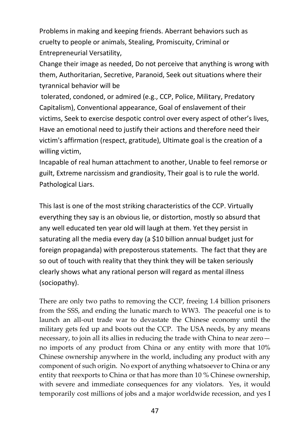Problems in making and keeping friends. Aberrant behaviors such as cruelty to people or animals, Stealing, Promiscuity, Criminal or Entrepreneurial Versatility,

Change their image as needed, Do not perceive that anything is wrong with them, Authoritarian, Secretive, Paranoid, Seek out situations where their tyrannical behavior will be

tolerated, condoned, or admired (e.g., CCP, Police, Military, Predatory Capitalism), Conventional appearance, Goal of enslavement of their victims, Seek to exercise despotic control over every aspect of other's lives, Have an emotional need to justify their actions and therefore need their victim's affirmation (respect, gratitude), Ultimate goal is the creation of a willing victim,

Incapable of real human attachment to another, Unable to feel remorse or guilt, Extreme narcissism and grandiosity, Their goal is to rule the world. Pathological Liars.

This last is one of the most striking characteristics of the CCP. Virtually everything they say is an obvious lie, or distortion, mostly so absurd that any well educated ten year old will laugh at them. Yet they persist in saturating all the media every day (a \$10 billion annual budget just for foreign propaganda) with preposterous statements. The fact that they are so out of touch with reality that they think they will be taken seriously clearly shows what any rational person will regard as mental illness (sociopathy).

There are only two paths to removing the CCP, freeing 1.4 billion prisoners from the SSS, and ending the lunatic march to WW3. The peaceful one is to launch an all-out trade war to devastate the Chinese economy until the military gets fed up and boots out the CCP. The USA needs, by any means necessary, to join all its allies in reducing the trade with China to near zero no imports of any product from China or any entity with more that 10% Chinese ownership anywhere in the world, including any product with any component of such origin. No export of anything whatsoever to China or any entity that reexports to China or that has more than 10 % Chinese ownership, with severe and immediate consequences for any violators. Yes, it would temporarily cost millions of jobs and a major worldwide recession, and yes I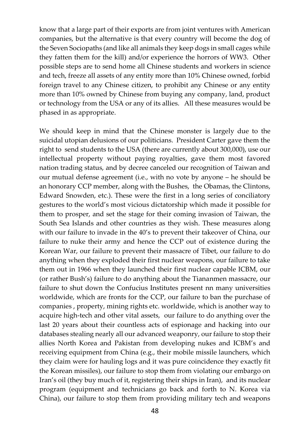know that a large part of their exports are from joint ventures with American companies, but the alternative is that every country will become the dog of the Seven Sociopaths (and like all animals they keep dogs in small cages while they fatten them for the kill) and/or experience the horrors of WW3. Other possible steps are to send home all Chinese students and workers in science and tech, freeze all assets of any entity more than 10% Chinese owned, forbid foreign travel to any Chinese citizen, to prohibit any Chinese or any entity more than 10% owned by Chinese from buying any company, land, product or technology from the USA or any of its allies. All these measures would be phased in as appropriate.

We should keep in mind that the Chinese monster is largely due to the suicidal utopian delusions of our politicians. President Carter gave them the right to send students to the USA (there are currently about 300,000), use our intellectual property without paying royalties, gave them most favored nation trading status, and by decree canceled our recognition of Taiwan and our mutual defense agreement (i.e., with no vote by anyone – he should be an honorary CCP member, along with the Bushes, the Obamas, the Clintons, Edward Snowden, etc.). These were the first in a long series of conciliatory gestures to the world's most vicious dictatorship which made it possible for them to prosper, and set the stage for their coming invasion of Taiwan, the South Sea Islands and other countries as they wish. These measures along with our failure to invade in the 40's to prevent their takeover of China, our failure to nuke their army and hence the CCP out of existence during the Korean War, our failure to prevent their massacre of Tibet, our failure to do anything when they exploded their first nuclear weapons, our failure to take them out in 1966 when they launched their first nuclear capable ICBM, our (or rather Bush's) failure to do anything about the Tiananmen massacre, our failure to shut down the Confucius Institutes present nn many universities worldwide, which are fronts for the CCP, our failure to ban the purchase of companies , property, mining rights etc. worldwide, which is another way to acquire high-tech and other vital assets, our failure to do anything over the last 20 years about their countless acts of espionage and hacking into our databases stealing nearly all our advanced weaponry, our failure to stop their allies North Korea and Pakistan from developing nukes and ICBM's and receiving equipment from China (e.g., their mobile missile launchers, which they claim were for hauling logs and it was pure coincidence they exactly fit the Korean missiles), our failure to stop them from violating our embargo on Iran's oil (they buy much of it, registering their ships in Iran), and its nuclear program (equipment and technicians go back and forth to N. Korea via China), our failure to stop them from providing military tech and weapons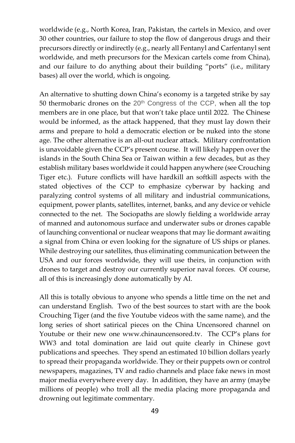worldwide (e.g., North Korea, Iran, Pakistan, the cartels in Mexico, and over 30 other countries, our failure to stop the flow of dangerous drugs and their precursors directly or indirectly (e.g., nearly all Fentanyl and Carfentanyl sent worldwide, and meth precursors for the Mexican cartels come from China), and our failure to do anything about their building "ports" (i.e., military bases) all over the world, which is ongoing.

An alternative to shutting down China's economy is a targeted strike by say 50 thermobaric drones on the  $20<sup>th</sup>$  Congress of the CCP, when all the top members are in one place, but that won't take place until 2022. The Chinese would be informed, as the attack happened, that they must lay down their arms and prepare to hold a democratic election or be nuked into the stone age. The other alternative is an all-out nuclear attack. Military confrontation is unavoidable given the CCP's present course. It will likely happen over the islands in the South China Sea or Taiwan within a few decades, but as they establish military bases worldwide it could happen anywhere (see Crouching Tiger etc.). Future conflicts will have hardkill an softkill aspects with the stated objectives of the CCP to emphasize cyberwar by hacking and paralyzing control systems of all military and industrial communications, equipment, power plants, satellites, internet, banks, and any device or vehicle connected to the net. The Sociopaths are slowly fielding a worldwide array of manned and autonomous surface and underwater subs or drones capable of launching conventional or nuclear weapons that may lie dormant awaiting a signal from China or even looking for the signature of US ships or planes. While destroying our satellites, thus eliminating communication between the USA and our forces worldwide, they will use theirs, in conjunction with drones to target and destroy our currently superior naval forces. Of course, all of this is increasingly done automatically by AI.

All this is totally obvious to anyone who spends a little time on the net and can understand English. Two of the best sources to start with are the book Crouching Tiger (and the five Youtube videos with the same name), and the long series of short satirical pieces on the China Uncensored channel on Youtube or their new one www.chinauncensored.tv. The CCP's plans for WW3 and total domination are laid out quite clearly in Chinese govt publications and speeches. They spend an estimated 10 billion dollars yearly to spread their propaganda worldwide. They or their puppets own or control newspapers, magazines, TV and radio channels and place fake news in most major media everywhere every day. In addition, they have an army (maybe millions of people) who troll all the media placing more propaganda and drowning out legitimate commentary.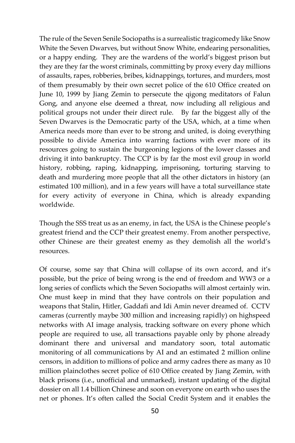The rule of the Seven Senile Sociopaths is a surrealistic tragicomedy like Snow White the Seven Dwarves, but without Snow White, endearing personalities, or a happy ending. They are the wardens of the world's biggest prison but they are they far the worst criminals, committing by proxy every day millions of assaults, rapes, robberies, bribes, kidnappings, tortures, and murders, most of them presumably by their own secret police of the 610 Office created on June 10, 1999 by Jiang Zemin to persecute the qigong meditators of Falun Gong, and anyone else deemed a threat, now including all religious and political groups not under their direct rule. By far the biggest ally of the Seven Dwarves is the Democratic party of the USA, which, at a time when America needs more than ever to be strong and united, is doing everything possible to divide America into warring factions with ever more of its resources going to sustain the burgeoning legions of the lower classes and driving it into bankruptcy. The CCP is by far the most evil group in world history, robbing, raping, kidnapping, imprisoning, torturing starving to death and murdering more people that all the other dictators in history (an estimated 100 million), and in a few years will have a total surveillance state for every activity of everyone in China, which is already expanding worldwide.

Though the SSS treat us as an enemy, in fact, the USA is the Chinese people's greatest friend and the CCP their greatest enemy. From another perspective, other Chinese are their greatest enemy as they demolish all the world's resources.

Of course, some say that China will collapse of its own accord, and it's possible, but the price of being wrong is the end of freedom and WW3 or a long series of conflicts which the Seven Sociopaths will almost certainly win. One must keep in mind that they have controls on their population and weapons that Stalin, Hitler, Gaddafi and Idi Amin never dreamed of. CCTV cameras (currently maybe 300 million and increasing rapidly) on highspeed networks with AI image analysis, tracking software on every phone which people are required to use, all transactions payable only by phone already dominant there and universal and mandatory soon, total automatic monitoring of all communications by AI and an estimated 2 million online censors, in addition to millions of police and army cadres there as many as 10 million plainclothes secret police of 610 Office created by Jiang Zemin, with black prisons (i.e., unofficial and unmarked), instant updating of the digital dossier on all 1.4 billion Chinese and soon on everyone on earth who uses the net or phones. It's often called the Social Credit System and it enables the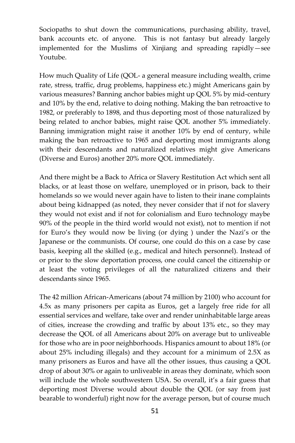Sociopaths to shut down the communications, purchasing ability, travel, bank accounts etc. of anyone. This is not fantasy but already largely implemented for the Muslims of Xinjiang and spreading rapidly—see Youtube.

How much Quality of Life (QOL- a general measure including wealth, crime rate, stress, traffic, drug problems, happiness etc.) might Americans gain by various measures? Banning anchor babies might up QOL 5% by mid-century and 10% by the end, relative to doing nothing. Making the ban retroactive to 1982, or preferably to 1898, and thus deporting most of those naturalized by being related to anchor babies, might raise QOL another 5% immediately. Banning immigration might raise it another 10% by end of century, while making the ban retroactive to 1965 and deporting most immigrants along with their descendants and naturalized relatives might give Americans (Diverse and Euros) another 20% more QOL immediately.

And there might be a Back to Africa or Slavery Restitution Act which sent all blacks, or at least those on welfare, unemployed or in prison, back to their homelands so we would never again have to listen to their inane complaints about being kidnapped (as noted, they never consider that if not for slavery they would not exist and if not for colonialism and Euro technology maybe 90% of the people in the third world would not exist), not to mention if not for Euro's they would now be living (or dying ) under the Nazi's or the Japanese or the communists. Of course, one could do this on a case by case basis, keeping all the skilled (e.g., medical and hitech personnel). Instead of or prior to the slow deportation process, one could cancel the citizenship or at least the voting privileges of all the naturalized citizens and their descendants since 1965.

The 42 million African-Americans (about 74 million by 2100) who account for 4.5x as many prisoners per capita as Euros, get a largely free ride for all essential services and welfare, take over and render uninhabitable large areas of cities, increase the crowding and traffic by about 13% etc., so they may decrease the QOL of all Americans about 20% on average but to unliveable for those who are in poor neighborhoods. Hispanics amount to about 18% (or about 25% including illegals) and they account for a minimum of 2.5X as many prisoners as Euros and have all the other issues, thus causing a QOL drop of about 30% or again to unliveable in areas they dominate, which soon will include the whole southwestern USA. So overall, it's a fair guess that deporting most Diverse would about double the QOL (or say from just bearable to wonderful) right now for the average person, but of course much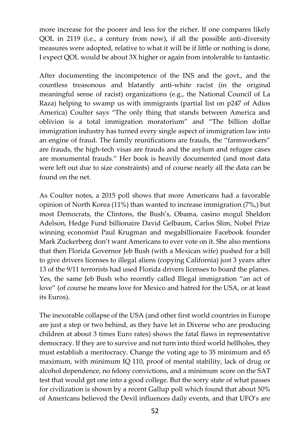more increase for the poorer and less for the richer. If one compares likely QOL in 2119 (i.e., a century from now), if all the possible anti-diversity measures were adopted, relative to what it will be if little or nothing is done, I expect QOL would be about 3X higher or again from intolerable to fantastic.

After documenting the incompetence of the INS and the govt., and the countless treasonous and blatantly anti-white racist (in the original meaningful sense of racist) organizations (e.g., the National Council of La Raza) helping to swamp us with immigrants (partial list on p247 of Adios America) Coulter says "The only thing that stands between America and oblivion is a total immigration moratorium" and "The billion dollar immigration industry has turned every single aspect of immigration law into an engine of fraud. The family reunifications are frauds, the "farmworkers" are frauds, the high-tech visas are frauds and the asylum and refugee cases are monumental frauds." Her book is heavily documented (and most data were left out due to size constraints) and of course nearly all the data can be found on the net.

As Coulter notes, a 2015 poll shows that more Americans had a favorable opinion of North Korea (11%) than wanted to increase immigration (7%,) but most Democrats, the Clintons, the Bush's, Obama, casino mogul Sheldon Adelson, Hedge Fund billionaire David Gelbaum, Carlos Slim, Nobel Prize winning economist Paul Krugman and megabillionaire Facebook founder Mark Zuckerberg don't want Americans to ever vote on it. She also mentions that then Florida Governor Jeb Bush (with a Mexican wife) pushed for a bill to give drivers licenses to illegal aliens (copying California) just 3 years after 13 of the 9/11 terrorists had used Florida drivers licenses to board the planes. Yes, the same Jeb Bush who recently called Illegal immigration "an act of love" (of course he means love for Mexico and hatred for the USA, or at least its Euros).

The inexorable collapse of the USA (and other first world countries in Europe are just a step or two behind, as they have let in Diverse who are producing children at about 3 times Euro rates) shows the fatal flaws in representative democracy. If they are to survive and not turn into third world hellholes, they must establish a meritocracy. Change the voting age to 35 minimum and 65 maximum, with minimum IQ 110, proof of mental stability, lack of drug or alcohol dependence, no felony convictions, and a minimum score on the SAT test that would get one into a good college. But the sorry state of what passes for civilization is shown by a recent Gallup poll which found that about 50% of Americans believed the Devil influences daily events, and that UFO's are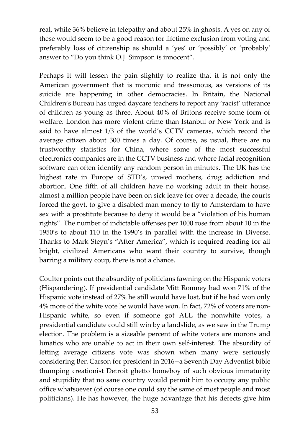real, while 36% believe in telepathy and about 25% in ghosts. A yes on any of these would seem to be a good reason for lifetime exclusion from voting and preferably loss of citizenship as should a 'yes' or 'possibly' or 'probably' answer to "Do you think O.J. Simpson is innocent".

Perhaps it will lessen the pain slightly to realize that it is not only the American government that is moronic and treasonous, as versions of its suicide are happening in other democracies. In Britain, the National Children's Bureau has urged daycare teachers to report any 'racist' utterance of children as young as three. About 40% of Britons receive some form of welfare. London has more violent crime than Istanbul or New York and is said to have almost 1/3 of the world's CCTV cameras, which record the average citizen about 300 times a day. Of course, as usual, there are no trustworthy statistics for China, where some of the most successful electronics companies are in the CCTV business and where facial recognition software can often identify any random person in minutes. The UK has the highest rate in Europe of STD's, unwed mothers, drug addiction and abortion. One fifth of all children have no working adult in their house, almost a million people have been on sick leave for over a decade, the courts forced the govt. to give a disabled man money to fly to Amsterdam to have sex with a prostitute because to deny it would be a "violation of his human rights". The number of indictable offenses per 1000 rose from about 10 in the 1950's to about 110 in the 1990's in parallel with the increase in Diverse. Thanks to Mark Steyn's "After America", which is required reading for all bright, civilized Americans who want their country to survive, though barring a military coup, there is not a chance.

Coulter points out the absurdity of politicians fawning on the Hispanic voters (Hispandering). If presidential candidate Mitt Romney had won 71% of the Hispanic vote instead of 27% he still would have lost, but if he had won only 4% more of the white vote he would have won. In fact, 72% of voters are non-Hispanic white, so even if someone got ALL the nonwhite votes, a presidential candidate could still win by a landslide, as we saw in the Trump election. The problem is a sizeable percent of white voters are morons and lunatics who are unable to act in their own self-interest. The absurdity of letting average citizens vote was shown when many were seriously considering Ben Carson for president in 2016--a Seventh Day Adventist bible thumping creationist Detroit ghetto homeboy of such obvious immaturity and stupidity that no sane country would permit him to occupy any public office whatsoever (of course one could say the same of most people and most politicians). He has however, the huge advantage that his defects give him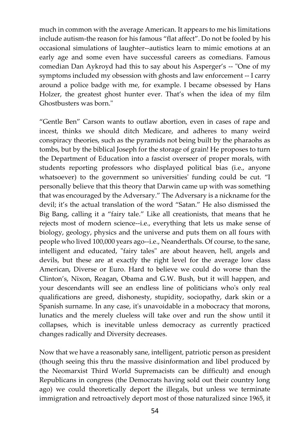much in common with the average American. It appears to me his limitations include autism-the reason for his famous "flat affect". Do not be fooled by his occasional simulations of laughter--autistics learn to mimic emotions at an early age and some even have successful careers as comedians. Famous comedian Dan Aykroyd had this to say about his Asperger's -- "One of my symptoms included my obsession with ghosts and law enforcement -- I carry around a police badge with me, for example. I became obsessed by Hans Holzer, the greatest ghost hunter ever. That's when the idea of my film Ghostbusters was born."

"Gentle Ben" Carson wants to outlaw abortion, even in cases of rape and incest, thinks we should ditch Medicare, and adheres to many weird conspiracy theories, such as the pyramids not being built by the pharaohs as tombs, but by the biblical Joseph for the storage of grain! He proposes to turn the Department of Education into a fascist overseer of proper morals, with students reporting professors who displayed political bias (i.e., anyone whatsoever) to the government so universities' funding could be cut. "I personally believe that this theory that Darwin came up with was something that was encouraged by the Adversary." The Adversary is a nickname for the devil; it's the actual translation of the word "Satan." He also dismissed the Big Bang, calling it a "fairy tale." Like all creationists, that means that he rejects most of modern science--i.e., everything that lets us make sense of biology, geology, physics and the universe and puts them on all fours with people who lived 100,000 years ago--i.e., Neanderthals. Of course, to the sane, intelligent and educated, "fairy tales" are about heaven, hell, angels and devils, but these are at exactly the right level for the average low class American, Diverse or Euro. Hard to believe we could do worse than the Clinton's, Nixon, Reagan, Obama and G.W. Bush, but it will happen, and your descendants will see an endless line of politicians who's only real qualifications are greed, dishonesty, stupidity, sociopathy, dark skin or a Spanish surname. In any case, it's unavoidable in a mobocracy that morons, lunatics and the merely clueless will take over and run the show until it collapses, which is inevitable unless democracy as currently practiced changes radically and Diversity decreases.

Now that we have a reasonably sane, intelligent, patriotic person as president (though seeing this thru the massive disinformation and libel produced by the Neomarxist Third World Supremacists can be difficult) and enough Republicans in congress (the Democrats having sold out their country long ago) we could theoretically deport the illegals, but unless we terminate immigration and retroactively deport most of those naturalized since 1965, it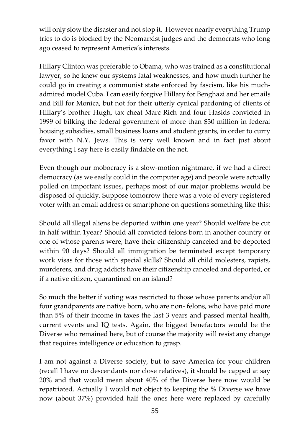will only slow the disaster and not stop it. However nearly everything Trump tries to do is blocked by the Neomarxist judges and the democrats who long ago ceased to represent America's interests.

Hillary Clinton was preferable to Obama, who was trained as a constitutional lawyer, so he knew our systems fatal weaknesses, and how much further he could go in creating a communist state enforced by fascism, like his muchadmired model Cuba. I can easily forgive Hillary for Benghazi and her emails and Bill for Monica, but not for their utterly cynical pardoning of clients of Hillary's brother Hugh, tax cheat Marc Rich and four Hasids convicted in 1999 of bilking the federal government of more than \$30 million in federal housing subsidies, small business loans and student grants, in order to curry favor with N.Y. Jews. This is very well known and in fact just about everything I say here is easily findable on the net.

Even though our mobocracy is a slow-motion nightmare, if we had a direct democracy (as we easily could in the computer age) and people were actually polled on important issues, perhaps most of our major problems would be disposed of quickly. Suppose tomorrow there was a vote of every registered voter with an email address or smartphone on questions something like this:

Should all illegal aliens be deported within one year? Should welfare be cut in half within 1year? Should all convicted felons born in another country or one of whose parents were, have their citizenship canceled and be deported within 90 days? Should all immigration be terminated except temporary work visas for those with special skills? Should all child molesters, rapists, murderers, and drug addicts have their citizenship canceled and deported, or if a native citizen, quarantined on an island?

So much the better if voting was restricted to those whose parents and/or all four grandparents are native born, who are non- felons, who have paid more than 5% of their income in taxes the last 3 years and passed mental health, current events and IQ tests. Again, the biggest benefactors would be the Diverse who remained here, but of course the majority will resist any change that requires intelligence or education to grasp.

I am not against a Diverse society, but to save America for your children (recall I have no descendants nor close relatives), it should be capped at say 20% and that would mean about 40% of the Diverse here now would be repatriated. Actually I would not object to keeping the % Diverse we have now (about 37%) provided half the ones here were replaced by carefully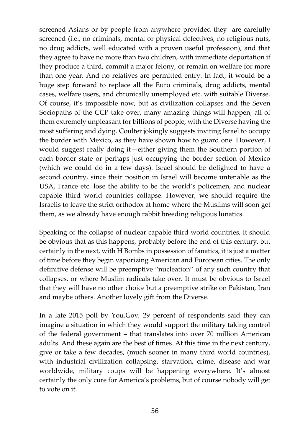screened Asians or by people from anywhere provided they are carefully screened (i.e., no criminals, mental or physical defectives, no religious nuts, no drug addicts, well educated with a proven useful profession), and that they agree to have no more than two children, with immediate deportation if they produce a third, commit a major felony, or remain on welfare for more than one year. And no relatives are permitted entry. In fact, it would be a huge step forward to replace all the Euro criminals, drug addicts, mental cases, welfare users, and chronically unemployed etc. with suitable Diverse. Of course, it's impossible now, but as civilization collapses and the Seven Sociopaths of the CCP take over, many amazing things will happen, all of them extremely unpleasant for billions of people, with the Diverse having the most suffering and dying. Coulter jokingly suggests inviting Israel to occupy the border with Mexico, as they have shown how to guard one. However, I would suggest really doing it—either giving them the Southern portion of each border state or perhaps just occupying the border section of Mexico (which we could do in a few days). Israel should be delighted to have a second country, since their position in Israel will become untenable as the USA, France etc. lose the ability to be the world's policemen, and nuclear capable third world countries collapse. However, we should require the Israelis to leave the strict orthodox at home where the Muslims will soon get them, as we already have enough rabbit breeding religious lunatics.

Speaking of the collapse of nuclear capable third world countries, it should be obvious that as this happens, probably before the end of this century, but certainly in the next, with H Bombs in possession of fanatics, it is just a matter of time before they begin vaporizing American and European cities. The only definitive defense will be preemptive "nucleation" of any such country that collapses, or where Muslim radicals take over. It must be obvious to Israel that they will have no other choice but a preemptive strike on Pakistan, Iran and maybe others. Another lovely gift from the Diverse.

In a late 2015 poll by You.Gov, 29 percent of respondents said they can imagine a situation in which they would support the military taking control of the federal government – that translates into over 70 million American adults. And these again are the best of times. At this time in the next century, give or take a few decades, (much sooner in many third world countries), with industrial civilization collapsing, starvation, crime, disease and war worldwide, military coups will be happening everywhere. It's almost certainly the only cure for America's problems, but of course nobody will get to vote on it.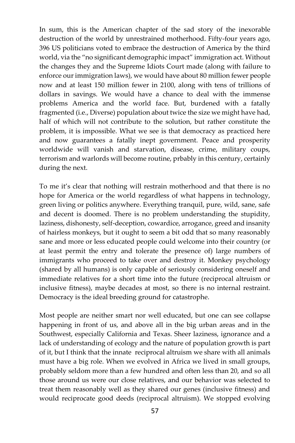In sum, this is the American chapter of the sad story of the inexorable destruction of the world by unrestrained motherhood. Fifty-four years ago, 396 US politicians voted to embrace the destruction of America by the third world, via the "no significant demographic impact" immigration act. Without the changes they and the Supreme Idiots Court made (along with failure to enforce our immigration laws), we would have about 80 million fewer people now and at least 150 million fewer in 2100, along with tens of trillions of dollars in savings. We would have a chance to deal with the immense problems America and the world face. But, burdened with a fatally fragmented (i.e., Diverse) population about twice the size we might have had, half of which will not contribute to the solution, but rather constitute the problem, it is impossible. What we see is that democracy as practiced here and now guarantees a fatally inept government. Peace and prosperity worldwide will vanish and starvation, disease, crime, military coups, terrorism and warlords will become routine, prbably in this century, certainly during the next.

To me it's clear that nothing will restrain motherhood and that there is no hope for America or the world regardless of what happens in technology, green living or politics anywhere. Everything tranquil, pure, wild, sane, safe and decent is doomed. There is no problem understanding the stupidity, laziness, dishonesty, self-deception, cowardice, arrogance, greed and insanity of hairless monkeys, but it ought to seem a bit odd that so many reasonably sane and more or less educated people could welcome into their country (or at least permit the entry and tolerate the presence of) large numbers of immigrants who proceed to take over and destroy it. Monkey psychology (shared by all humans) is only capable of seriously considering oneself and immediate relatives for a short time into the future (reciprocal altruism or inclusive fitness), maybe decades at most, so there is no internal restraint. Democracy is the ideal breeding ground for catastrophe.

Most people are neither smart nor well educated, but one can see collapse happening in front of us, and above all in the big urban areas and in the Southwest, especially California and Texas. Sheer laziness, ignorance and a lack of understanding of ecology and the nature of population growth is part of it, but I think that the innate reciprocal altruism we share with all animals must have a big role. When we evolved in Africa we lived in small groups, probably seldom more than a few hundred and often less than 20, and so all those around us were our close relatives, and our behavior was selected to treat them reasonably well as they shared our genes (inclusive fitness) and would reciprocate good deeds (reciprocal altruism). We stopped evolving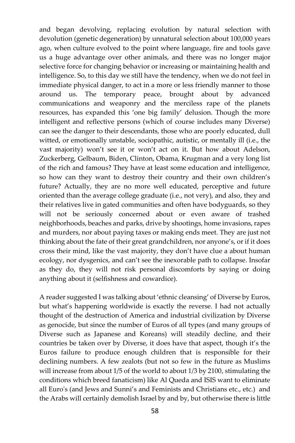and began devolving, replacing evolution by natural selection with devolution (genetic degeneration) by unnatural selection about 100,000 years ago, when culture evolved to the point where language, fire and tools gave us a huge advantage over other animals, and there was no longer major selective force for changing behavior or increasing or maintaining health and intelligence. So, to this day we still have the tendency, when we do not feel in immediate physical danger, to act in a more or less friendly manner to those around us. The temporary peace, brought about by advanced communications and weaponry and the merciless rape of the planets resources, has expanded this 'one big family' delusion. Though the more intelligent and reflective persons (which of course includes many Diverse) can see the danger to their descendants, those who are poorly educated, dull witted, or emotionally unstable, sociopathic, autistic, or mentally ill (i.e., the vast majority) won't see it or won't act on it. But how about Adelson, Zuckerberg, Gelbaum, Biden, Clinton, Obama, Krugman and a very long list of the rich and famous? They have at least some education and intelligence, so how can they want to destroy their country and their own children's future? Actually, they are no more well educated, perceptive and future oriented than the average college graduate (i.e., not very), and also, they and their relatives live in gated communities and often have bodyguards, so they will not be seriously concerned about or even aware of trashed neighborhoods, beaches and parks, drive by shootings, home invasions, rapes and murders, nor about paying taxes or making ends meet. They are just not thinking about the fate of their great grandchildren, nor anyone's, or if it does cross their mind, like the vast majority, they don't have clue a about human ecology, nor dysgenics, and can't see the inexorable path to collapse. Insofar as they do, they will not risk personal discomforts by saying or doing anything about it (selfishness and cowardice).

A reader suggested I was talking about 'ethnic cleansing' of Diverse by Euros, but what's happening worldwide is exactly the reverse. I had not actually thought of the destruction of America and industrial civilization by Diverse as genocide, but since the number of Euros of all types (and many groups of Diverse such as Japanese and Koreans) will steadily decline, and their countries be taken over by Diverse, it does have that aspect, though it's the Euros failure to produce enough children that is responsible for their declining numbers. A few zealots (but not so few in the future as Muslims will increase from about 1/5 of the world to about 1/3 by 2100, stimulating the conditions which breed fanaticism) like Al Queda and ISIS want to eliminate all Euro's (and Jews and Sunni's and Feminists and Christians etc., etc.) and the Arabs will certainly demolish Israel by and by, but otherwise there is little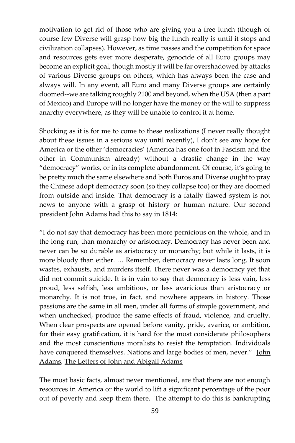motivation to get rid of those who are giving you a free lunch (though of course few Diverse will grasp how big the lunch really is until it stops and civilization collapses). However, as time passes and the competition for space and resources gets ever more desperate, genocide of all Euro groups may become an explicit goal, though mostly it will be far overshadowed by attacks of various Diverse groups on others, which has always been the case and always will. In any event, all Euro and many Diverse groups are certainly doomed--we are talking roughly 2100 and beyond, when the USA (then a part of Mexico) and Europe will no longer have the money or the will to suppress anarchy everywhere, as they will be unable to control it at home.

Shocking as it is for me to come to these realizations (I never really thought about these issues in a serious way until recently), I don't see any hope for America or the other 'democracies' (America has one foot in Fascism and the other in Communism already) without a drastic change in the way "democracy" works, or in its complete abandonment. Of course, it's going to be pretty much the same elsewhere and both Euros and Diverse ought to pray the Chinese adopt democracy soon (so they collapse too) or they are doomed from outside and inside. That democracy is a fatally flawed system is not news to anyone with a grasp of history or human nature. Our second president John Adams had this to say in 1814:

"I do not say that democracy has been more pernicious on the whole, and in the long run, than monarchy or aristocracy. Democracy has never been and never can be so durable as aristocracy or monarchy; but while it lasts, it is more bloody than either. … Remember, democracy never lasts long. It soon wastes, exhausts, and murders itself. There never was a democracy yet that did not commit suicide. It is in vain to say that democracy is less vain, less proud, less selfish, less ambitious, or less avaricious than aristocracy or monarchy. It is not true, in fact, and nowhere appears in history. Those passions are the same in all men, under all forms of simple government, and when unchecked, produce the same effects of fraud, violence, and cruelty. When clear prospects are opened before vanity, pride, avarice, or ambition, for their easy gratification, it is hard for the most considerate philosophers and the most conscientious moralists to resist the temptation. Individuals have conquered themselves. Nations and large bodies of men, never." <u>John</u> [Adams,](http://www.goodreads.com/author/show/1480.John_Adams) [The Letters of John and Abigail Adams](http://www.goodreads.com/work/quotes/17049308)

The most basic facts, almost never mentioned, are that there are not enough resources in America or the world to lift a significant percentage of the poor out of poverty and keep them there. The attempt to do this is bankrupting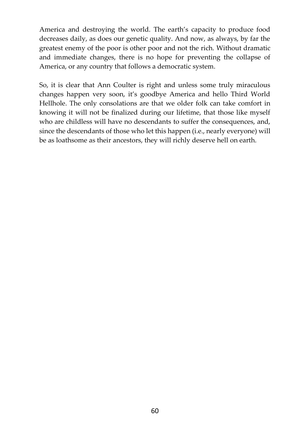America and destroying the world. The earth's capacity to produce food decreases daily, as does our genetic quality. And now, as always, by far the greatest enemy of the poor is other poor and not the rich. Without dramatic and immediate changes, there is no hope for preventing the collapse of America, or any country that follows a democratic system.

So, it is clear that Ann Coulter is right and unless some truly miraculous changes happen very soon, it's goodbye America and hello Third World Hellhole. The only consolations are that we older folk can take comfort in knowing it will not be finalized during our lifetime, that those like myself who are childless will have no descendants to suffer the consequences, and, since the descendants of those who let this happen (i.e., nearly everyone) will be as loathsome as their ancestors, they will richly deserve hell on earth.